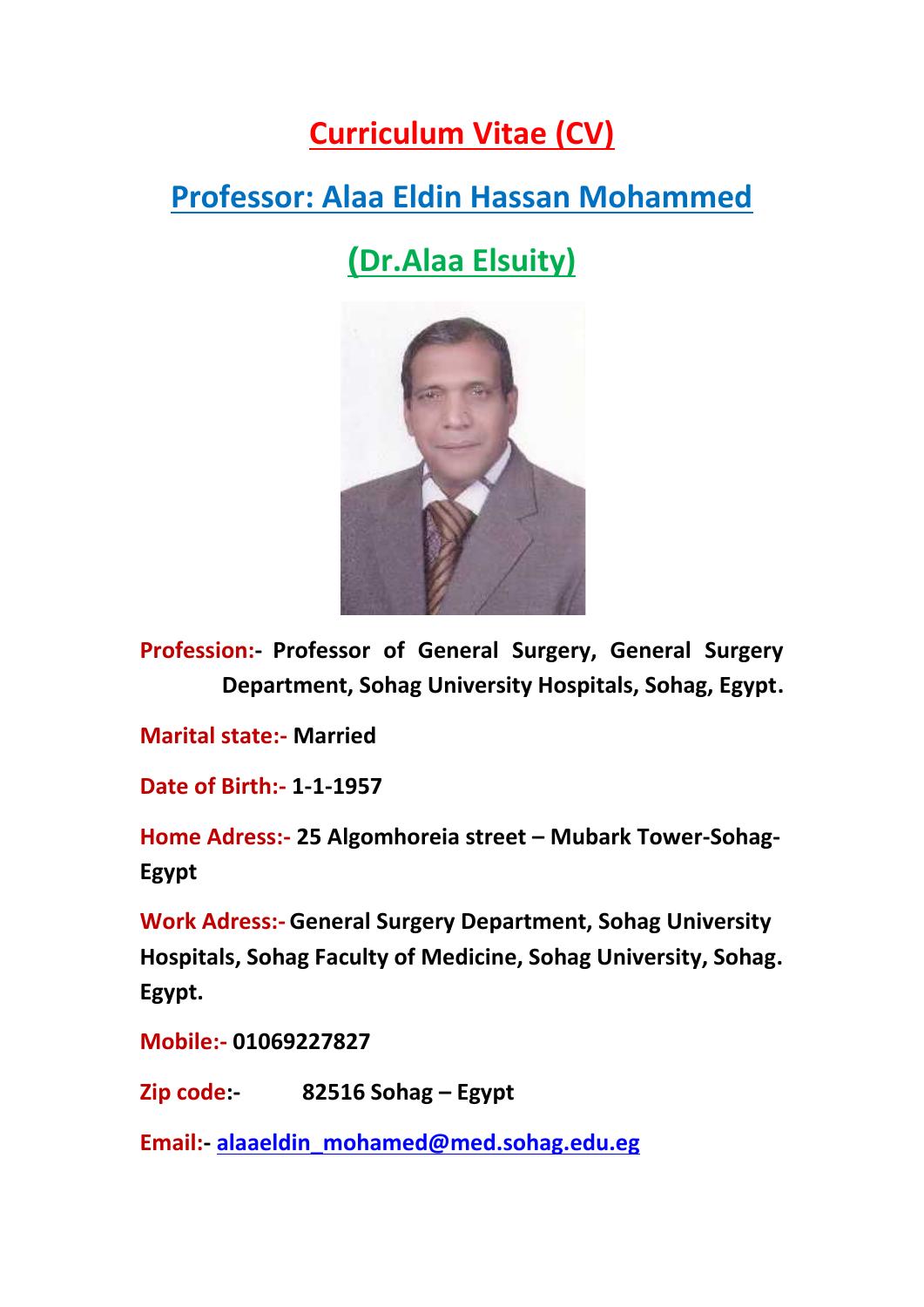# **Curriculum Vitae (CV)**

# **Professor: Alaa Eldin Hassan Mohammed**

**(Dr.Alaa Elsuity)**



**Profession:- Professor of General Surgery, General Surgery Department, Sohag University Hospitals, Sohag, Egypt.**

**Marital state:- Married**

**Date of Birth:- 1-1-1957**

**Home Adress:- 25 Algomhoreia street – Mubark Tower-Sohag- Egypt**

**Work Adress:- General Surgery Department, Sohag University Hospitals, Sohag Faculty of Medicine, Sohag University, Sohag. Egypt.**

**Mobile:- 01069227827**

**Zip code:- 82516 Sohag – Egypt**

**Email:- alaaeldin\_mohamed@med.sohag.edu.eg**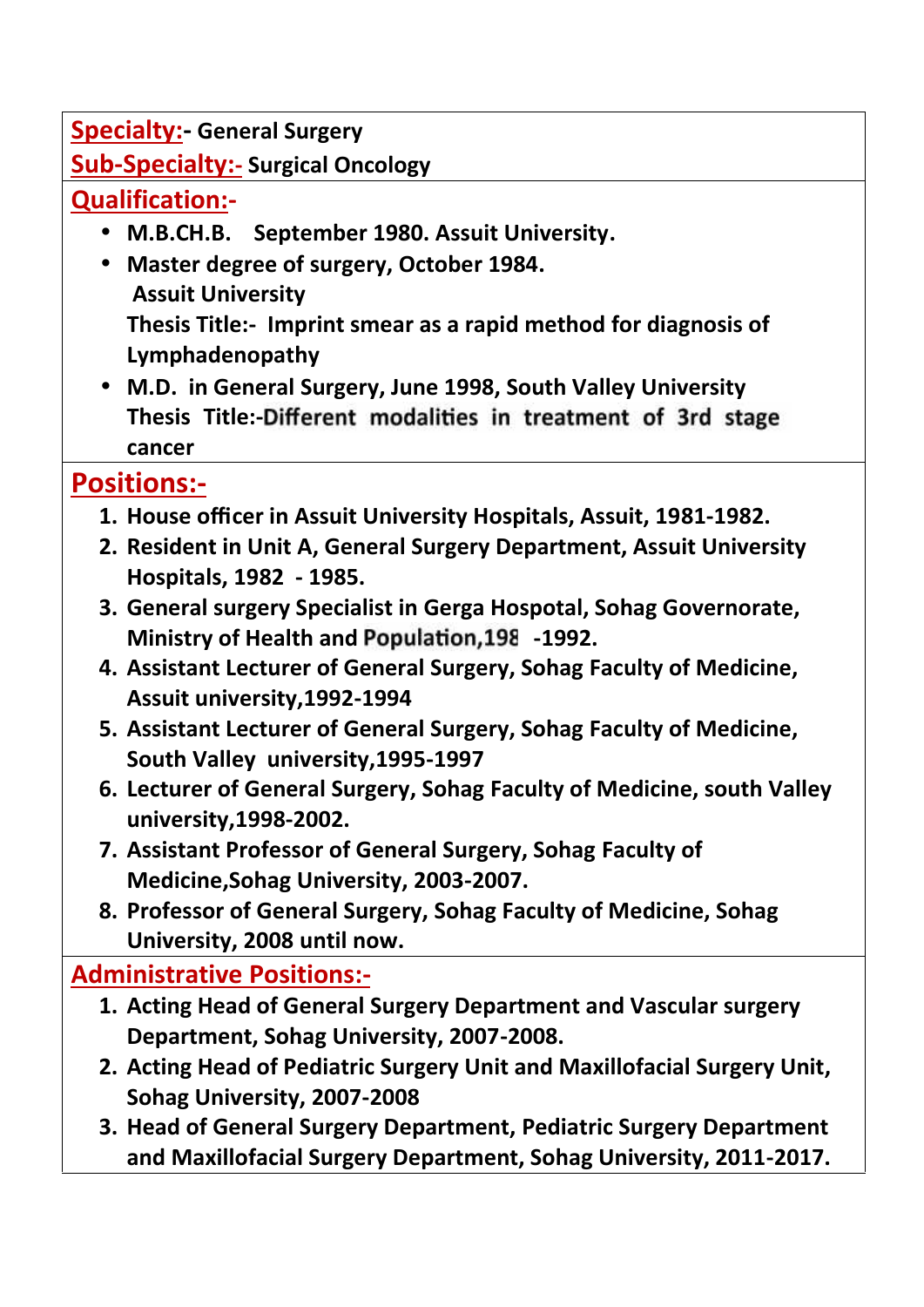**Specialty:- General Surgery**

**Sub-Specialty:- Surgical Oncology**

## **Qualification:-**

- **M.B.CH.B. September 1980. Assuit University.**
- **Master degree of surgery, October 1984. Assuit University Thesis Title:- Imprint smear as a rapid method for diagnosis of Lymphadenopathy**
- **M.D. in General Surgery, June 1998, South Valley University** Thesis Title: Different modalities in treatment of 3rd stage **cancer**

# **Positions:-**

- **1. House officer in Assuit University Hospitals, Assuit, 1981-1982.**
- **2. Resident in Unit A, General Surgery Department, Assuit University Hospitals, 1982 - 1985.**
- **3. General surgery Specialist in Gerga Hospotal, Sohag Governorate, Ministry of Health and Population, 198 -1992.**
- **4. Assistant Lecturer of General Surgery, Sohag Faculty of Medicine, Assuit university,1992-1994**
- **5. Assistant Lecturer of General Surgery, Sohag Faculty of Medicine, South Valley university,1995-1997**
- **6. Lecturer of General Surgery, Sohag Faculty of Medicine, south Valley university,1998-2002.**
- **7. Assistant Professor of General Surgery, Sohag Faculty of Medicine,Sohag University, 2003-2007.**
- **8. Professor of General Surgery, Sohag Faculty of Medicine, Sohag University, 2008 until now.**

## **Administrative Positions:-**

- **1. Acting Head of General Surgery Department and Vascular surgery Department, Sohag University, 2007-2008.**
- **2. Acting Head of Pediatric Surgery Unit and Maxillofacial Surgery Unit, Sohag University, 2007-2008**
- **3. Head of General Surgery Department, Pediatric Surgery Department and Maxillofacial Surgery Department, Sohag University, 2011-2017.**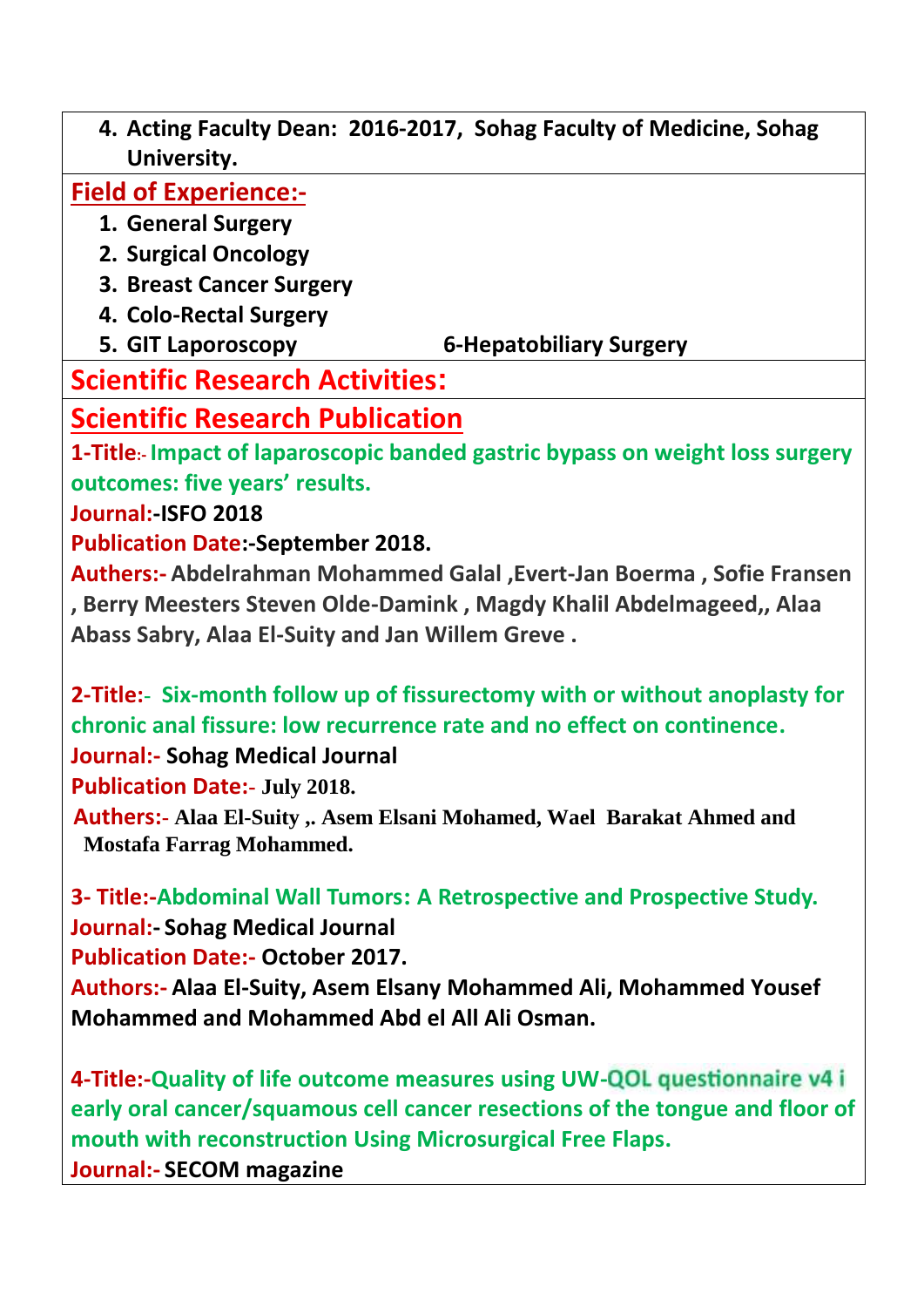**4. Acting Faculty Dean: 2016-2017, Sohag Faculty of Medicine, Sohag University.**

**Field of Experience:-**

- **1. General Surgery**
- **2. Surgical Oncology**
- **3. Breast Cancer Surgery**
- **4. Colo-Rectal Surgery**
- **5. GIT Laporoscopy 6-Hepatobiliary Surgery**

# **Scientific Research Activities:**

# **Scientific Research Publication**

**1-Title:- Impact of laparoscopic banded gastric bypass on weight loss surgery outcomes: five years' results.**

**Journal:-ISFO 2018**

**Publication Date:-September 2018.**

**Authers:- Abdelrahman Mohammed Galal ,Evert-Jan Boerma , Sofie Fransen , Berry Meesters Steven Olde-Damink , Magdy Khalil Abdelmageed,, Alaa Abass Sabry, Alaa El-Suity and Jan Willem Greve .**

**2-Title:- Six-month follow up of fissurectomy with or without anoplasty for chronic anal fissure: low recurrence rate and no effect on continence.**

**Journal:- Sohag Medical Journal**

**Publication Date:- July 2018.**

**Authers:- Alaa El-Suity ,. Asem Elsani Mohamed, Wael Barakat Ahmed and Mostafa Farrag Mohammed.**

**3- Title:-Abdominal Wall Tumors: A Retrospective and Prospective Study. Journal:- Sohag Medical Journal Publication Date:- October 2017.**

**Authors:- Alaa El-Suity, Asem Elsany Mohammed Ali, Mohammed Yousef Mohammed and Mohammed Abd el All Ali Osman.**

**4-Title:-Quality of life outcome measures using UW early oral cancer/squamous cell cancer resections of the tongue and floor of mouth with reconstruction Using Microsurgical Free Flaps. Journal:- SECOM magazine**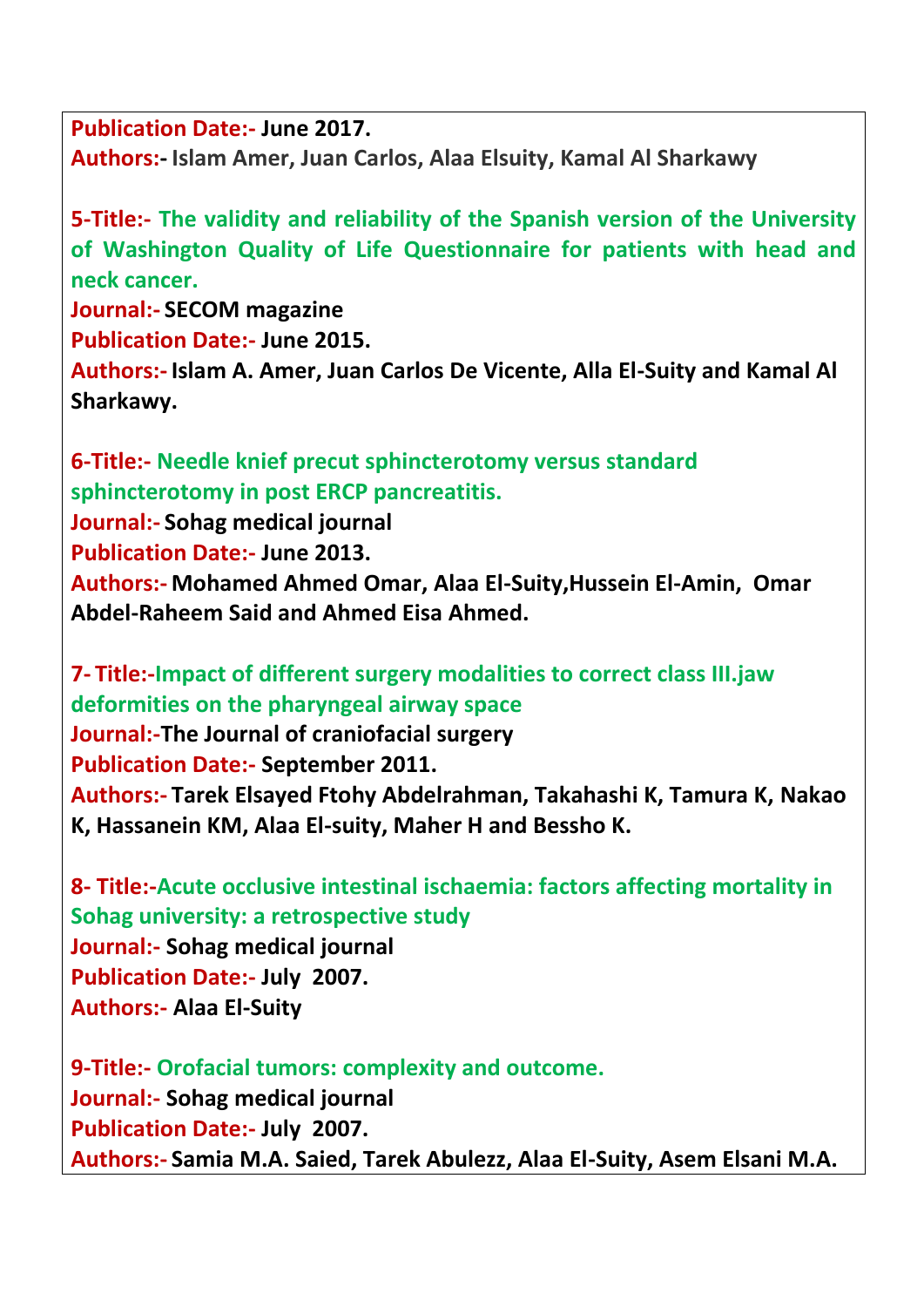**Publication Date:- June 2017. Authors:- Islam Amer, Juan Carlos, Alaa Elsuity, Kamal Al Sharkawy**

**5-Title:- The validity and reliability of the Spanish version of the University of Washington Quality of Life Questionnaire for patients with head and neck cancer. Journal:- SECOM magazine Publication Date:- June 2015.**

**Authors:- Islam A. Amer, Juan Carlos De Vicente, Alla El-Suity and Kamal Al Sharkawy.**

**6-Title:- Needle knief precut sphincterotomy versus standard sphincterotomy in post ERCP pancreatitis.**

**Journal:- Sohag medical journal Publication Date:- June 2013. Authors:- Mohamed Ahmed Omar, Alaa El-Suity,Hussein El-Amin, Omar Abdel-Raheem Said and Ahmed Eisa Ahmed.**

**7- Title:-Impact of different surgery modalities to correct class III.jaw deformities on the pharyngeal airway space Journal:-The Journal of craniofacial surgery Publication Date:- September 2011. Authors:- Tarek Elsayed Ftohy Abdelrahman, Takahashi K, Tamura K, Nakao K, Hassanein KM, Alaa El-suity, Maher H and Bessho K.**

**8- Title:-Acute occlusive intestinal ischaemia: factors affecting mortality in Sohag university: a retrospective study Journal:- Sohag medical journal Publication Date:- July 2007. Authors:- Alaa El-Suity**

**9-Title:- Orofacial tumors: complexity and outcome. Journal:- Sohag medical journal Publication Date:- July 2007. Authors:- Samia M.A. Saied, Tarek Abulezz, Alaa El-Suity, Asem Elsani M.A.**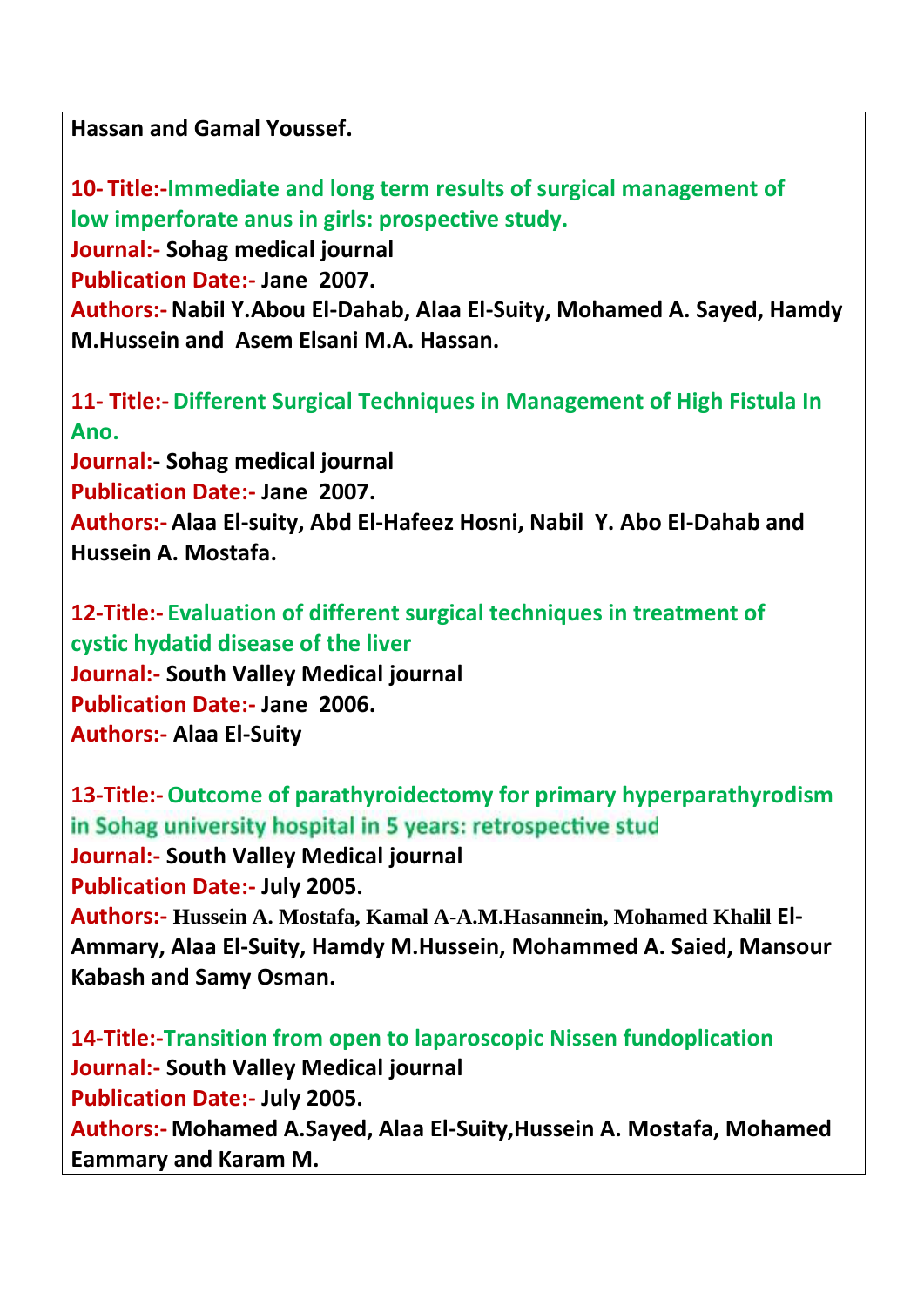**Hassan and Gamal Youssef.**

**10- Title:-Immediate and long term results of surgical management of low imperforate anus in girls: prospective study. Journal:- Sohag medical journal Publication Date:- Jane 2007. Authors:-Nabil Y.Abou El-Dahab, Alaa El-Suity, Mohamed A. Sayed, Hamdy M.Hussein and Asem Elsani M.A. Hassan.**

**11- Title:- Different Surgical Techniques in Management of High Fistula In Ano. Journal:- Sohag medical journal Publication Date:- Jane 2007. Authors:- Alaa El-suity, Abd El-Hafeez Hosni, Nabil Y. Abo El-Dahab and Hussein A. Mostafa.**

**12-Title:- Evaluation of different surgical techniques in treatment of cystic hydatid disease of the liver Journal:- South Valley Medical journal Publication Date:- Jane 2006. Authors:- Alaa El-Suity**

**13-Title:-Outcome of parathyroidectomy for primary hyperparathyrodism** in Sohag university hospital in 5 years: retrospective stud **Journal:- South Valley Medical journal Publication Date:- July 2005. Authors:- Hussein A. Mostafa, Kamal A-A.M.Hasannein, Mohamed Khalil El- Ammary, Alaa El-Suity, Hamdy M.Hussein, Mohammed A. Saied, Mansour Kabash and Samy Osman.**

**14-Title:-Transition from open to laparoscopic Nissen fundoplication Journal:- South Valley Medical journal Publication Date:- July 2005. Authors:- Mohamed A.Sayed, Alaa El-Suity,Hussein A. Mostafa, Mohamed Eammary and Karam M.**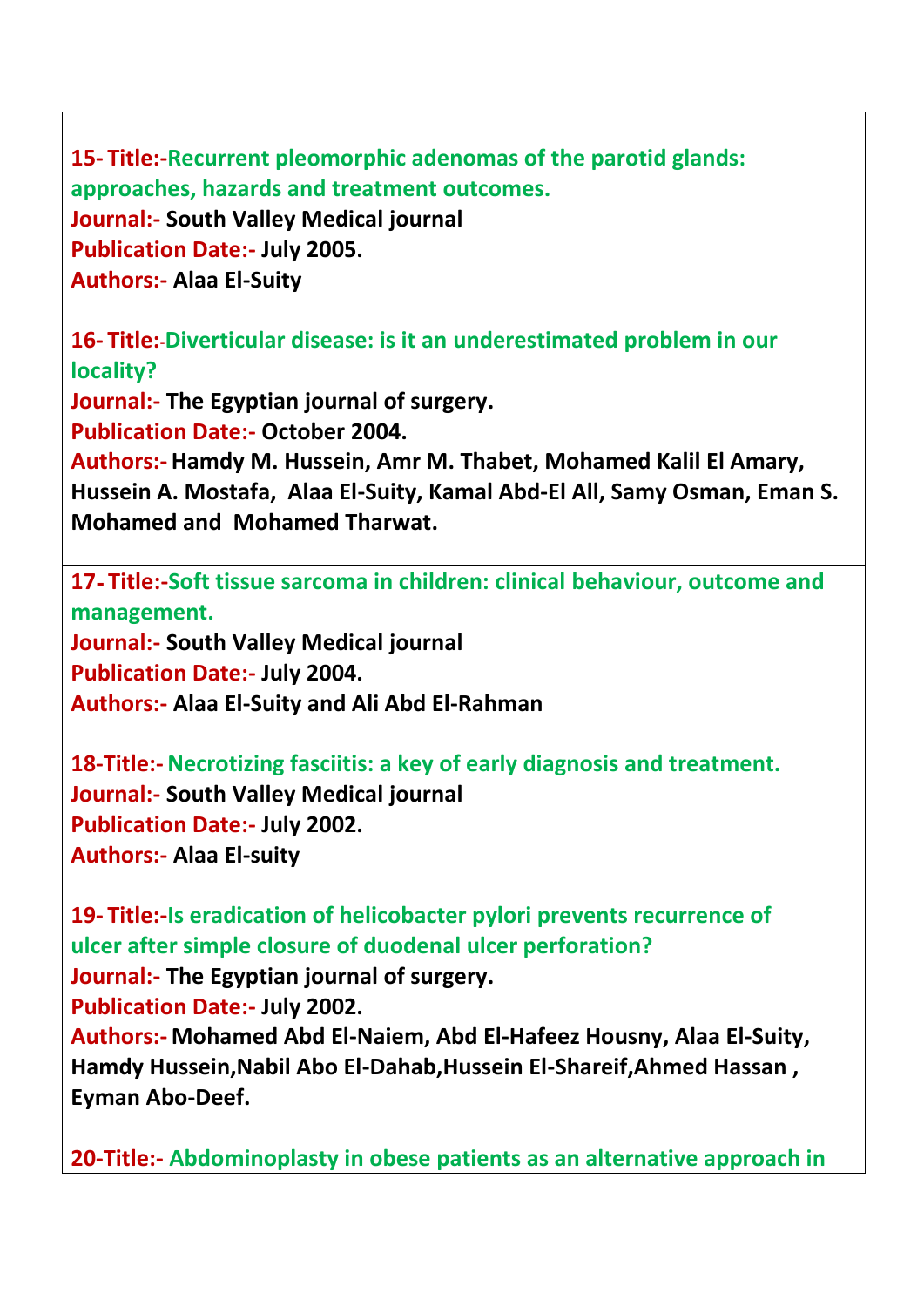**15- Title:-Recurrent pleomorphic adenomas of the parotid glands: approaches, hazards and treatment outcomes. Journal:- South Valley Medical journal Publication Date:- July 2005. Authors:- Alaa El-Suity**

**16- Title:**-**Diverticular disease: is it an underestimated problem in our locality?**

**Journal:- The Egyptian journal of surgery.**

**Publication Date:- October 2004.**

**Authors:- Hamdy M. Hussein, Amr M. Thabet, Mohamed Kalil El Amary, Hussein A. Mostafa, Alaa El-Suity, Kamal Abd-El All, Samy Osman, Eman S. Mohamed and Mohamed Tharwat.**

**17- Title:-Soft tissue sarcoma in children: clinical behaviour, outcome and management.**

**Journal:- South Valley Medical journal Publication Date:- July 2004. Authors:- Alaa El-Suity and Ali Abd El-Rahman**

**18-Title:-Necrotizing fasciitis: a key of early diagnosis and treatment. Journal:- South Valley Medical journal Publication Date:- July 2002. Authors:- Alaa El-suity**

**19- Title:-Is eradication of helicobacter pylori prevents recurrence of ulcer after simple closure of duodenal ulcer perforation? Journal:- The Egyptian journal of surgery. Publication Date:- July 2002. Authors:- Mohamed Abd El-Naiem, Abd El-Hafeez Housny, Alaa El-Suity, Hamdy Hussein,Nabil Abo El-Dahab,Hussein El-Shareif,Ahmed Hassan , Eyman Abo-Deef.**

**20-Title:- Abdominoplasty in obese patients as an alternative approach in**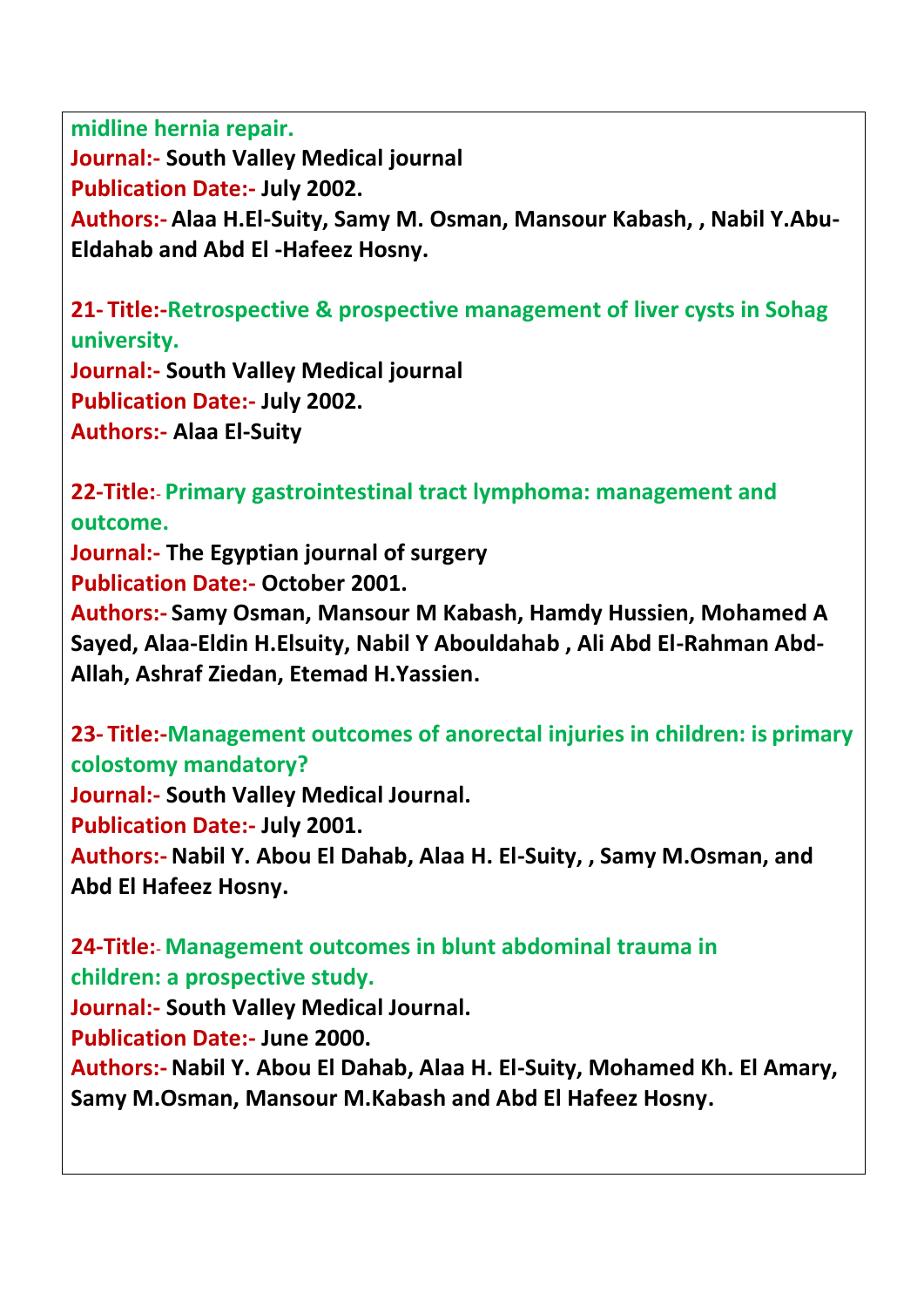**midline hernia repair. Journal:- South Valley Medical journal Publication Date:- July 2002. Authors:- Alaa H.El-Suity, Samy M. Osman, Mansour Kabash, , Nabil Y.Abu- Eldahab and Abd El -Hafeez Hosny.**

**21- Title:-Retrospective & prospective management of liver cysts in Sohag university.**

**Journal:- South Valley Medical journal Publication Date:- July 2002. Authors:- Alaa El-Suity**

**22-Title:**- **Primary gastrointestinal tract lymphoma: management and outcome. Journal:- The Egyptian journal of surgery Publication Date:- October 2001. Authors:- Samy Osman, Mansour M Kabash, Hamdy Hussien, Mohamed A Sayed, Alaa-Eldin H.Elsuity, Nabil Y Abouldahab , Ali Abd El-Rahman Abd- Allah, Ashraf Ziedan, Etemad H.Yassien.**

**23- Title:-Management outcomes of anorectal injuries in children: is primary colostomy mandatory? Journal:- South Valley Medical Journal. Publication Date:- July 2001. Authors:-Nabil Y. Abou El Dahab, Alaa H. El-Suity, , Samy M.Osman, and Abd El Hafeez Hosny.**

**24-Title:**- **Management outcomes in blunt abdominal trauma in children: a prospective study. Journal:- South Valley Medical Journal.**

**Publication Date:- June 2000.**

**Authors:-Nabil Y. Abou El Dahab, Alaa H. El-Suity, Mohamed Kh. El Amary, Samy M.Osman, Mansour M.Kabash and Abd El Hafeez Hosny.**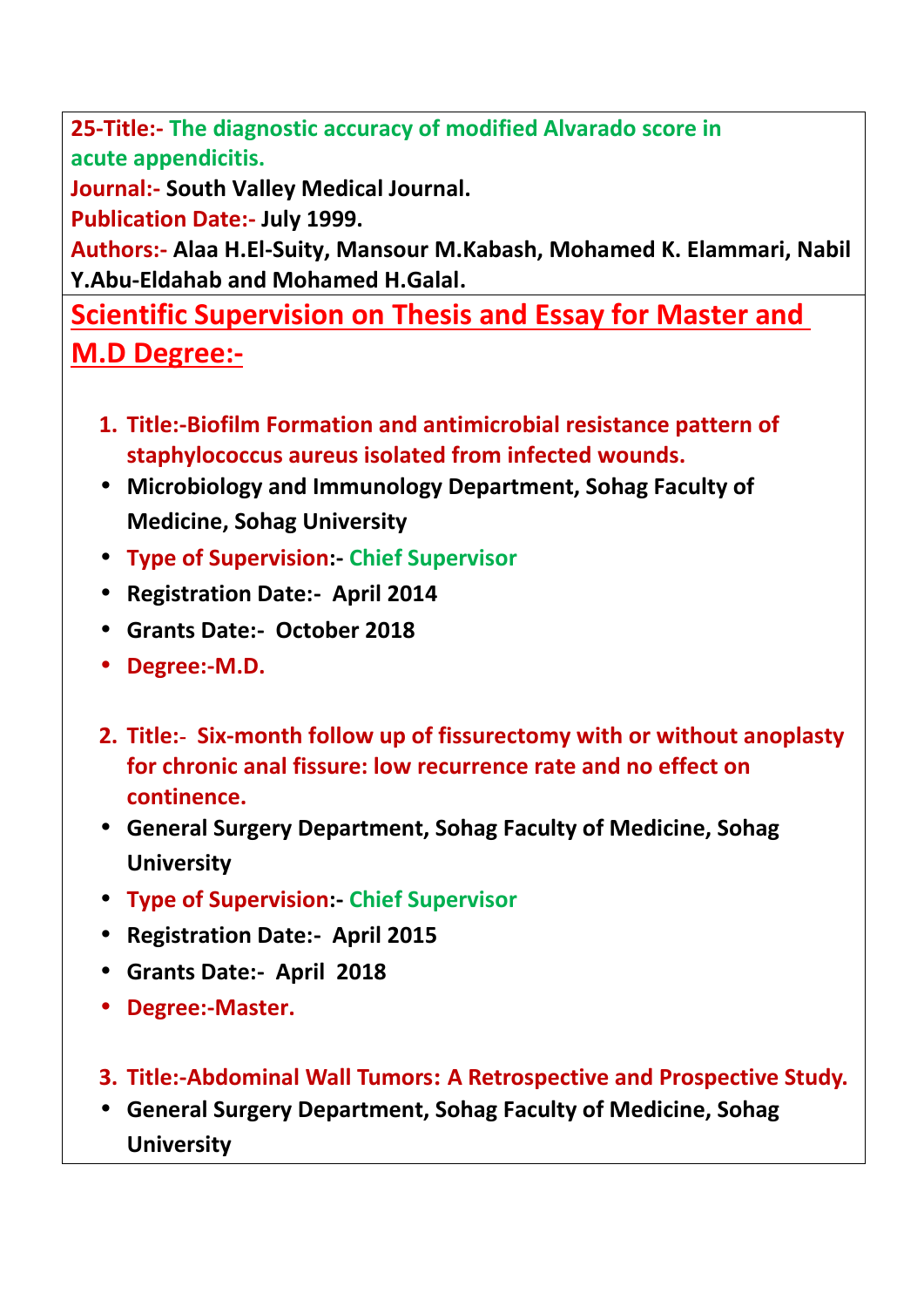**25-Title:- The diagnostic accuracy of modified Alvarado score in acute appendicitis.**

**Journal:- South Valley Medical Journal.**

**Publication Date:- July 1999.**

**Authors:- Alaa H.El-Suity, Mansour M.Kabash, Mohamed K. Elammari, Nabil Y.Abu-Eldahab and Mohamed H.Galal.**

**Scientific Supervision on Thesis and Essay for Master and M.D Degree:-**

- **1. Title:-Biofilm Formation and antimicrobial resistance pattern of staphylococcus aureus isolated from infected wounds.**
- **Microbiology and Immunology Department, Sohag Faculty of Medicine, Sohag University**
- **Type of Supervision:- Chief Supervisor**
- **Registration Date:- April 2014**
- **Grants Date:- October 2018**
- **Degree:-M.D.**
- **2. Title:- Six-month follow up of fissurectomy with or without anoplasty for chronic anal fissure: low recurrence rate and no effect on continence.**
- **General Surgery Department, Sohag Faculty of Medicine, Sohag University**
- **Type of Supervision:- Chief Supervisor**
- **Registration Date:- April 2015**
- **Grants Date:- April 2018**
- **Degree:-Master.**
- **3. Title:-Abdominal Wall Tumors: A Retrospective and Prospective Study.**
- **General Surgery Department, Sohag Faculty of Medicine, Sohag University**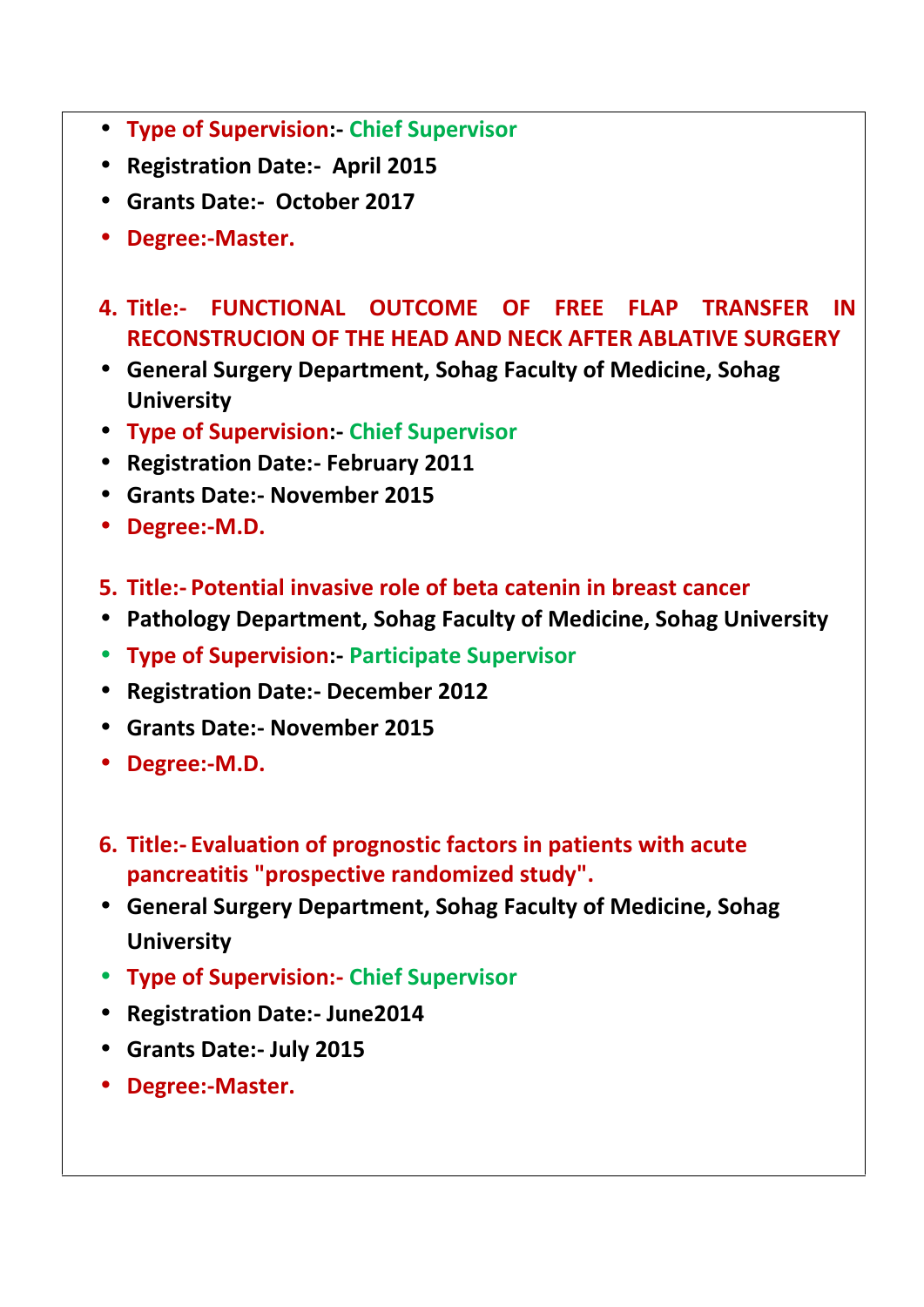- **Type of Supervision:- Chief Supervisor**
- **Registration Date:- April 2015**
- **Grants Date:- October 2017**
- **Degree:-Master.**
- **4. Title:- FUNCTIONAL OUTCOME OF FREE FLAP TRANSFER IN RECONSTRUCION OF THE HEAD AND NECK AFTER ABLATIVE SURGERY**
- **General Surgery Department, Sohag Faculty of Medicine, Sohag University**
- **Type of Supervision:- Chief Supervisor**
- **Registration Date:- February 2011**
- **Grants Date:- November 2015**
- **Degree:-M.D.**
- **5. Title:- Potential invasive role of beta catenin in breast cancer**
- **Pathology Department, Sohag Faculty of Medicine, Sohag University**
- **Type of Supervision:- Participate Supervisor**
- **Registration Date:- December 2012**
- **Grants Date:- November 2015**
- **Degree:-M.D.**
- **6. Title:- Evaluation of prognostic factors in patients with acute pancreatitis "prospective randomized study".**
- **General Surgery Department, Sohag Faculty of Medicine, Sohag University**
- **Type of Supervision:- Chief Supervisor**
- **Registration Date:- June2014**
- **Grants Date:- July 2015**
- **Degree:-Master.**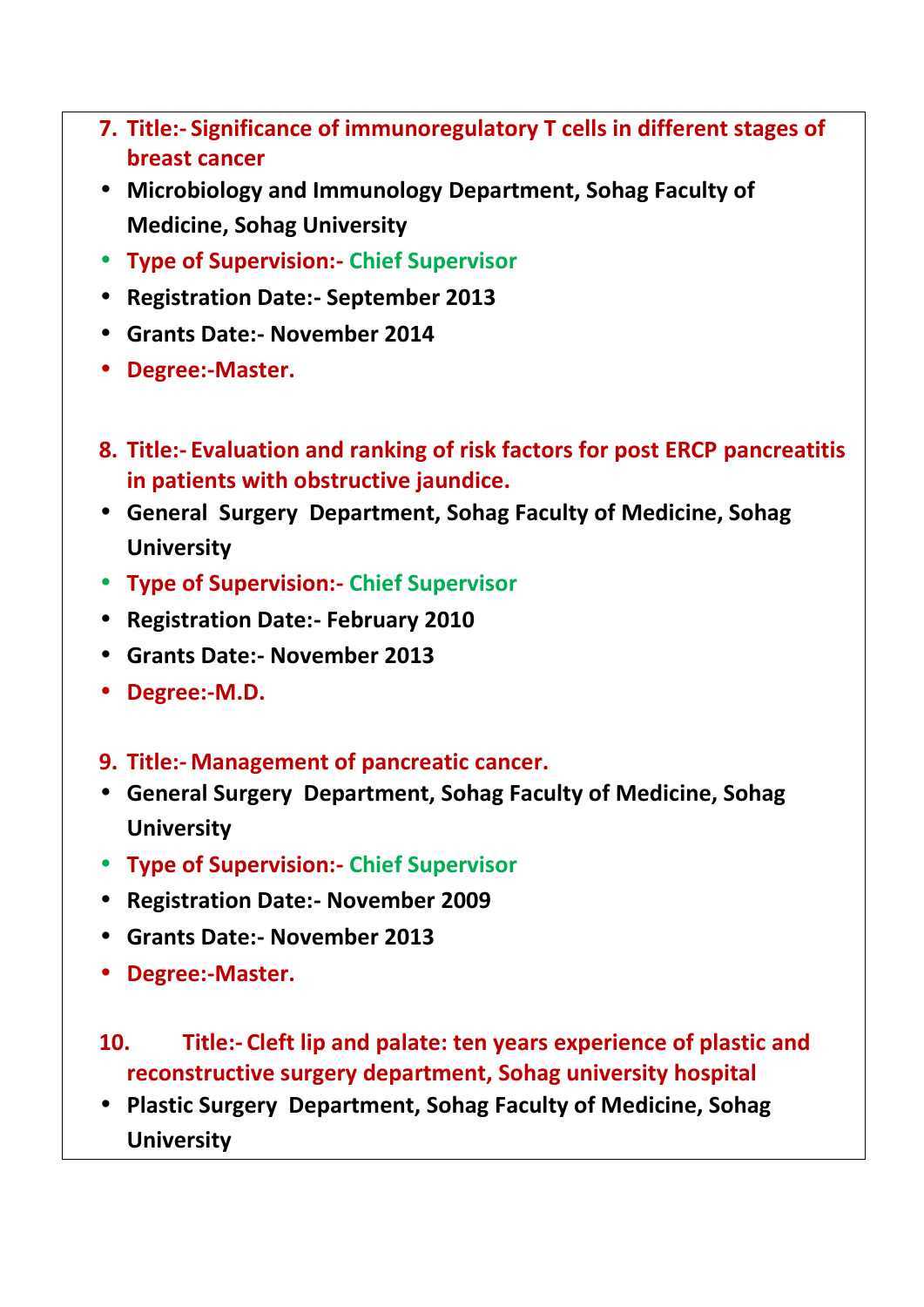- **7. Title:- Significance of immunoregulatory T cells in different stages of breast cancer**
- **Microbiology and Immunology Department, Sohag Faculty of Medicine, Sohag University**
- **Type of Supervision:- Chief Supervisor**
- **Registration Date:- September 2013**
- **Grants Date:- November 2014**
- **Degree:-Master.**
- **8. Title:- Evaluation and ranking of risk factors for post ERCP pancreatitis in patients with obstructive jaundice.**
- **General Surgery Department, Sohag Faculty of Medicine, Sohag University**
- **Type of Supervision:- Chief Supervisor**
- **Registration Date:- February 2010**
- **Grants Date:- November 2013**
- **Degree:-M.D.**
- **9. Title:- Management of pancreatic cancer.**
- **General Surgery Department, Sohag Faculty of Medicine, Sohag University**
- **Type of Supervision:- Chief Supervisor**
- **Registration Date:- November 2009**
- **Grants Date:- November 2013**
- **Degree:-Master.**
- **10. Title:- Cleft lip and palate: ten years experience of plastic and reconstructive surgery department, Sohag university hospital**
- **Plastic Surgery Department, Sohag Faculty of Medicine, Sohag University**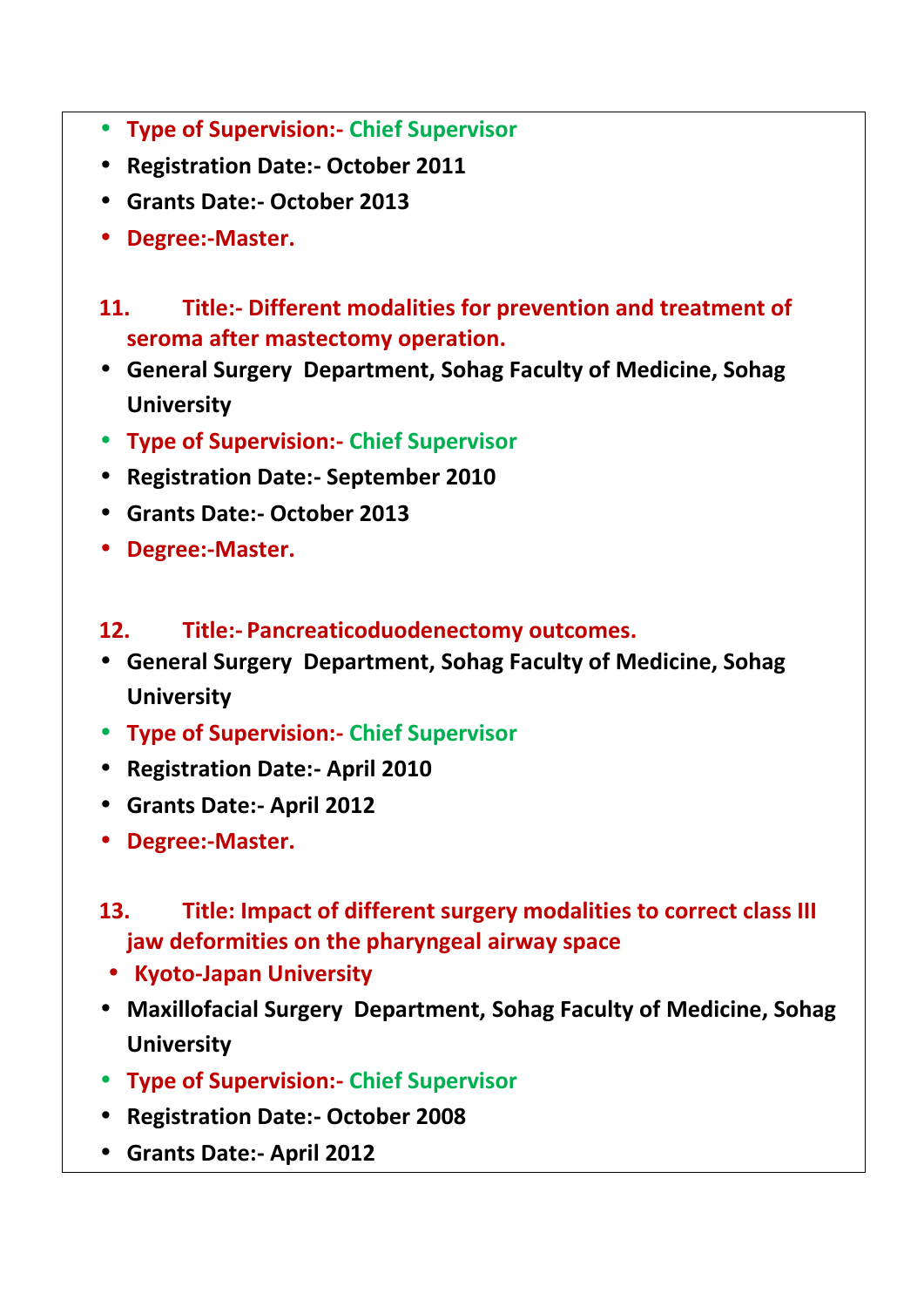- **Type of Supervision:- Chief Supervisor**
- **Registration Date:- October 2011**
- **Grants Date:- October 2013**
- **Degree:-Master.**
- **11. Title:- Different modalities for prevention and treatment of seroma after mastectomy operation.**
- **General Surgery Department, Sohag Faculty of Medicine, Sohag University**
- **Type of Supervision:- Chief Supervisor**
- **Registration Date:- September 2010**
- **Grants Date:- October 2013**
- **Degree:-Master.**
- **12. Title:- Pancreaticoduodenectomy outcomes.**
- **General Surgery Department, Sohag Faculty of Medicine, Sohag University**
- **Type of Supervision:- Chief Supervisor**
- **Registration Date:- April 2010**
- **Grants Date:- April 2012**
- **Degree:-Master.**
- **13. Title: Impact of different surgery modalities to correct class III jaw deformities on the pharyngeal airway space**
- **Kyoto-Japan University**
- **Maxillofacial Surgery Department, Sohag Faculty of Medicine, Sohag University**
- **Type of Supervision:- Chief Supervisor**
- **Registration Date:- October 2008**
- **Grants Date:- April 2012**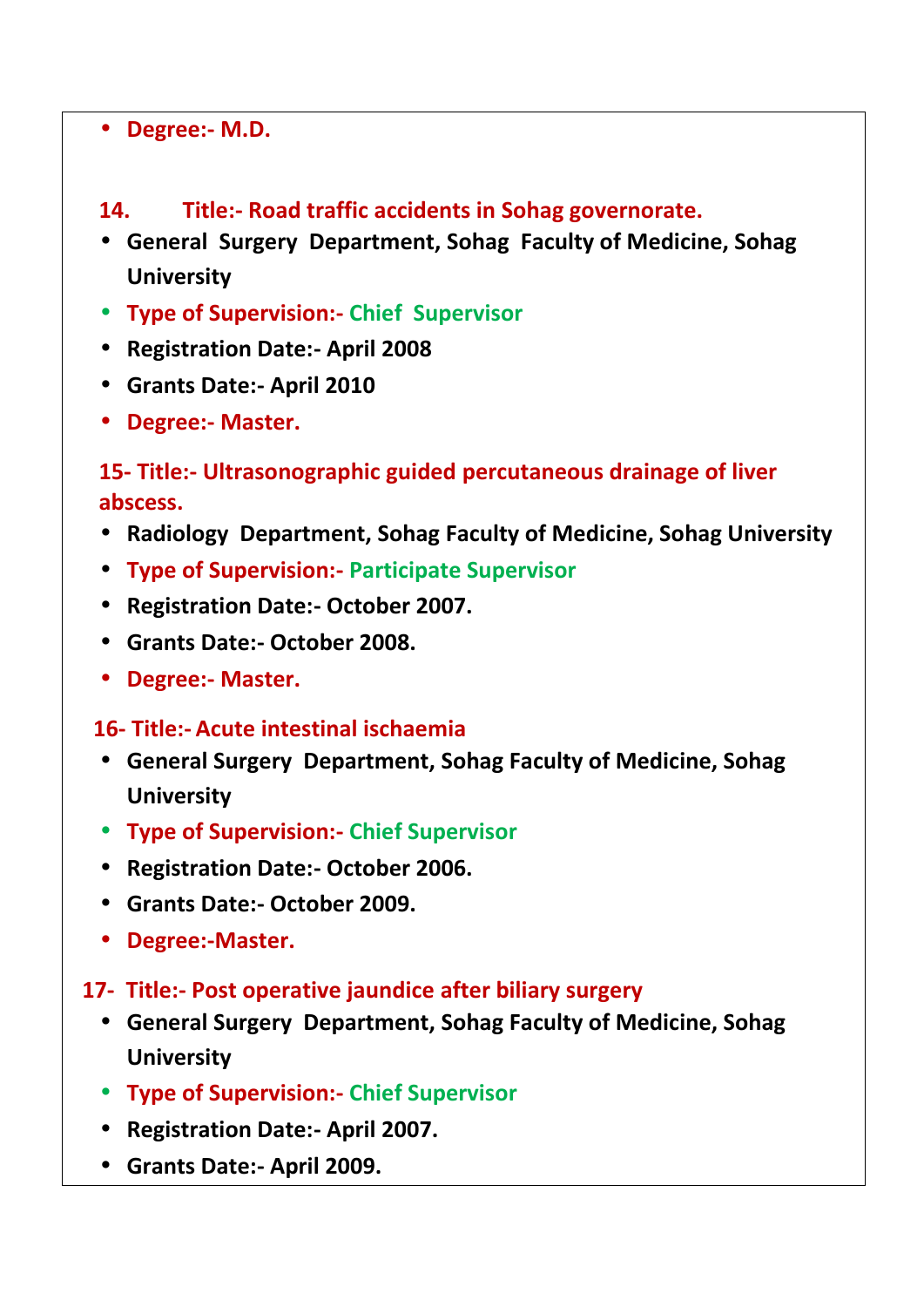#### **Degree:- M.D.**

- **14. Title:- Road traffic accidents in Sohag governorate.**
- **General Surgery Department, Sohag Faculty of Medicine, Sohag University**
- **Type of Supervision:- Chief Supervisor**
- **Registration Date:- April 2008**
- **Grants Date:- April 2010**
- **Degree:- Master.**

## **15- Title:- Ultrasonographic guided percutaneous drainage of liver abscess.**

- **Radiology Department, Sohag Faculty of Medicine, Sohag University**
- **Type of Supervision:- Participate Supervisor**
- **Registration Date:- October 2007.**
- **Grants Date:- October 2008.**
- **Degree:- Master.**

#### **16- Title:- Acute intestinal ischaemia**

- **General Surgery Department, Sohag Faculty of Medicine, Sohag University**
- **Type of Supervision:- Chief Supervisor**
- **Registration Date:- October 2006.**
- **Grants Date:- October 2009.**
- **Degree:-Master.**
- **17- Title:- Post operative jaundice after biliary surgery**
	- **General Surgery Department, Sohag Faculty of Medicine, Sohag University**
	- **Type of Supervision:- Chief Supervisor**
	- **Registration Date:- April 2007.**
	- **Grants Date:- April 2009.**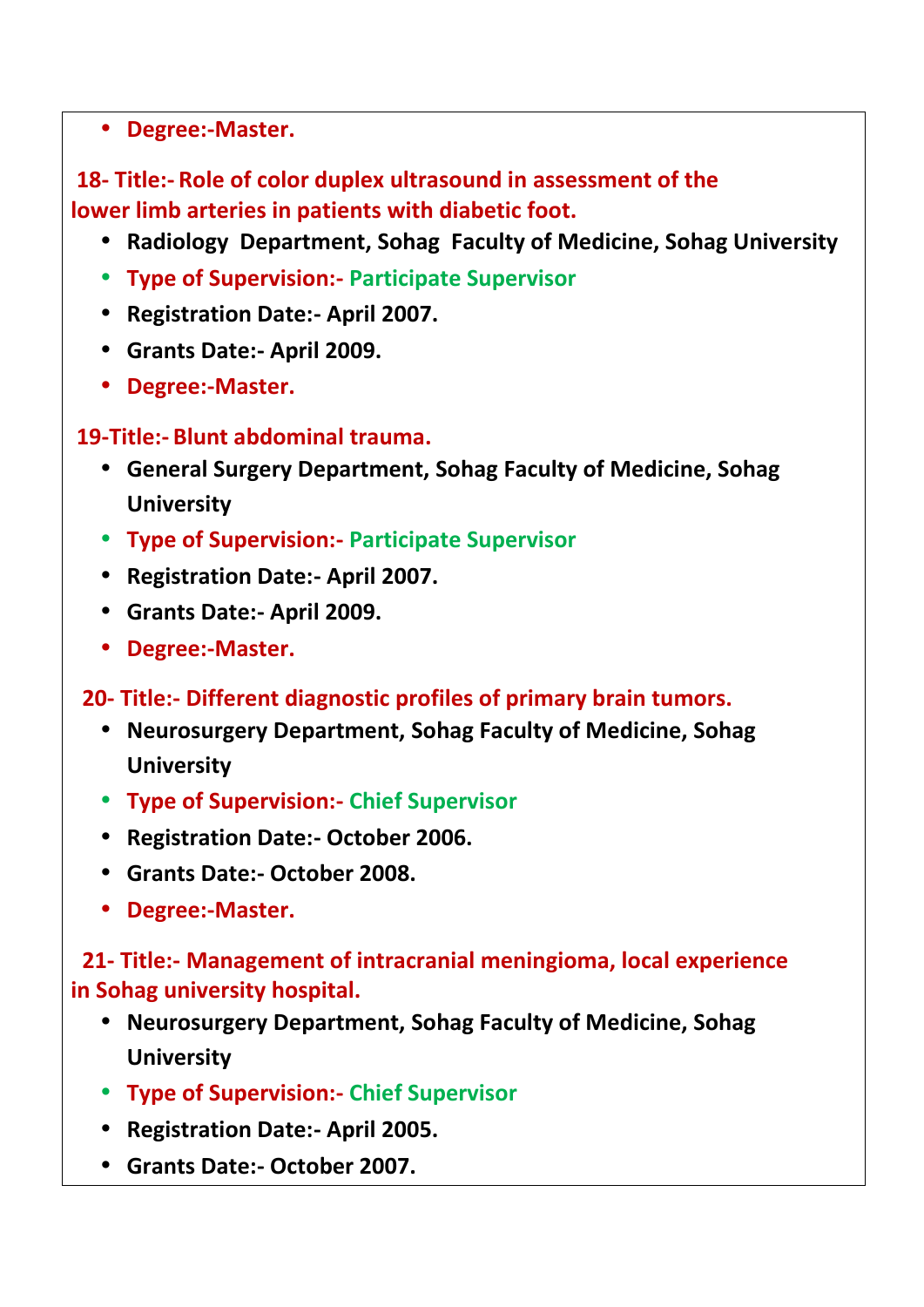#### **Degree:-Master.**

## **18- Title:- Role of color duplex ultrasound in assessment of the lower limb arteries in patients with diabetic foot.**

- **Radiology Department, Sohag Faculty of Medicine, Sohag University**
- **Type of Supervision:- Participate Supervisor**
- **Registration Date:- April 2007.**
- **Grants Date:- April 2009.**
- **Degree:-Master.**

### **19-Title:- Blunt abdominal trauma.**

- **General Surgery Department, Sohag Faculty of Medicine, Sohag University**
- **Type of Supervision:- Participate Supervisor**
- **Registration Date:- April 2007.**
- **Grants Date:- April 2009.**
- **Degree:-Master.**
- **20- Title:- Different diagnostic profiles of primary brain tumors.**
	- **Neurosurgery Department, Sohag Faculty of Medicine, Sohag University**
	- **Type of Supervision:- Chief Supervisor**
	- **Registration Date:- October 2006.**
	- **Grants Date:- October 2008.**
	- **Degree:-Master.**

### **21- Title:- Management of intracranial meningioma, local experience in Sohag university hospital.**

- **Neurosurgery Department, Sohag Faculty of Medicine, Sohag University**
- **Type of Supervision:- Chief Supervisor**
- **Registration Date:- April 2005.**
- **Grants Date:- October 2007.**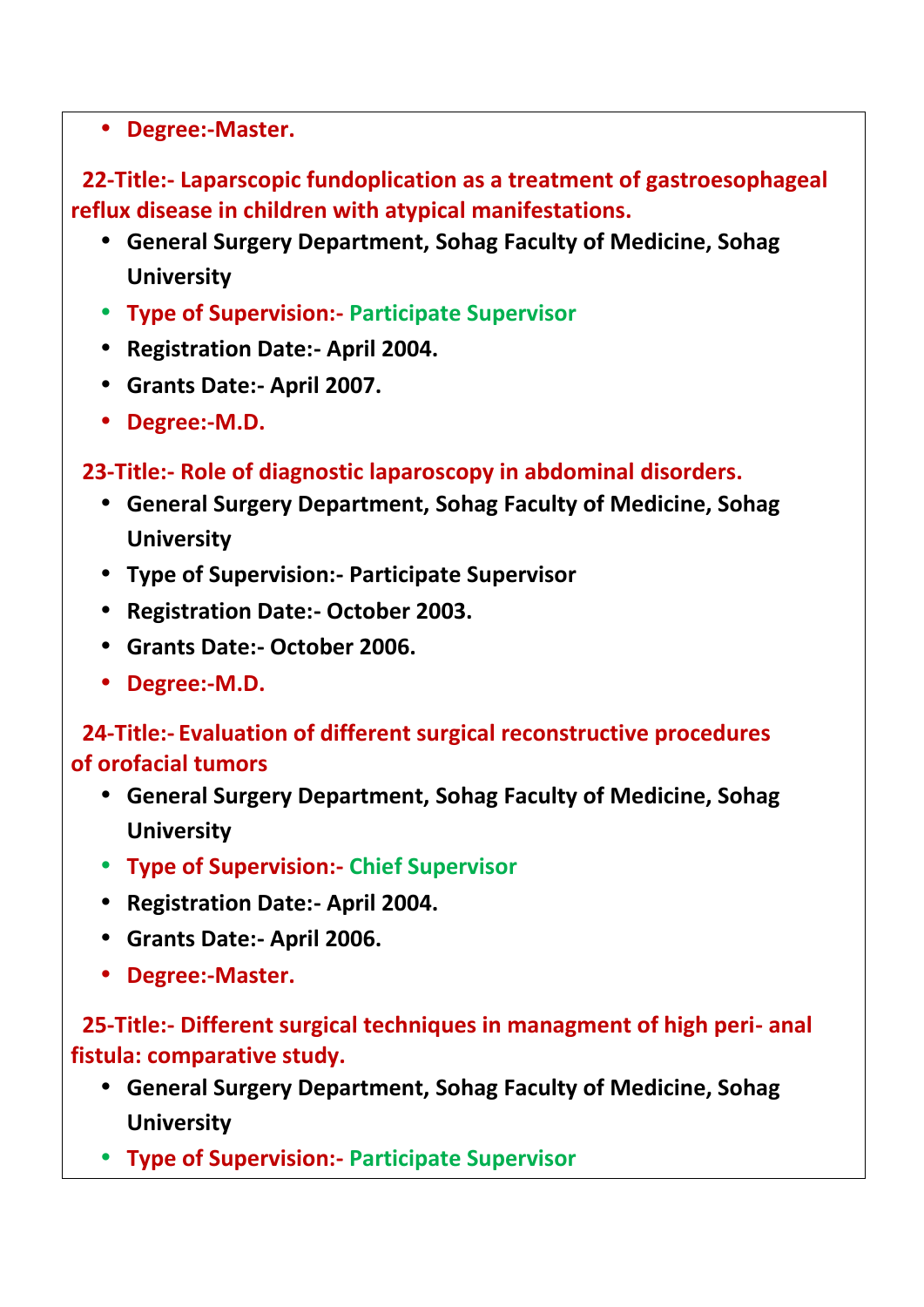**Degree:-Master.**

**22-Title:- Laparscopic fundoplication as a treatment of gastroesophageal reflux disease in children with atypical manifestations.**

- **General Surgery Department, Sohag Faculty of Medicine, Sohag University**
- **Type of Supervision:- Participate Supervisor**
- **Registration Date:- April 2004.**
- **Grants Date:- April 2007.**
- **Degree:-M.D.**

**23-Title:- Role of diagnostic laparoscopy in abdominal disorders.**

- **General Surgery Department, Sohag Faculty of Medicine, Sohag University**
- **Type of Supervision:- Participate Supervisor**
- **Registration Date:- October 2003.**
- **Grants Date:- October 2006.**
- **Degree:-M.D.**

**24-Title:- Evaluation of different surgical reconstructive procedures of orofacial tumors**

- **General Surgery Department, Sohag Faculty of Medicine, Sohag University**
- **Type of Supervision:- Chief Supervisor**
- **Registration Date:- April 2004.**
- **Grants Date:- April 2006.**
- **Degree:-Master.**

**25-Title:- Different surgical techniques in managment of high peri- anal fistula: comparative study.**

- **General Surgery Department, Sohag Faculty of Medicine, Sohag University**
- **Type of Supervision:- Participate Supervisor**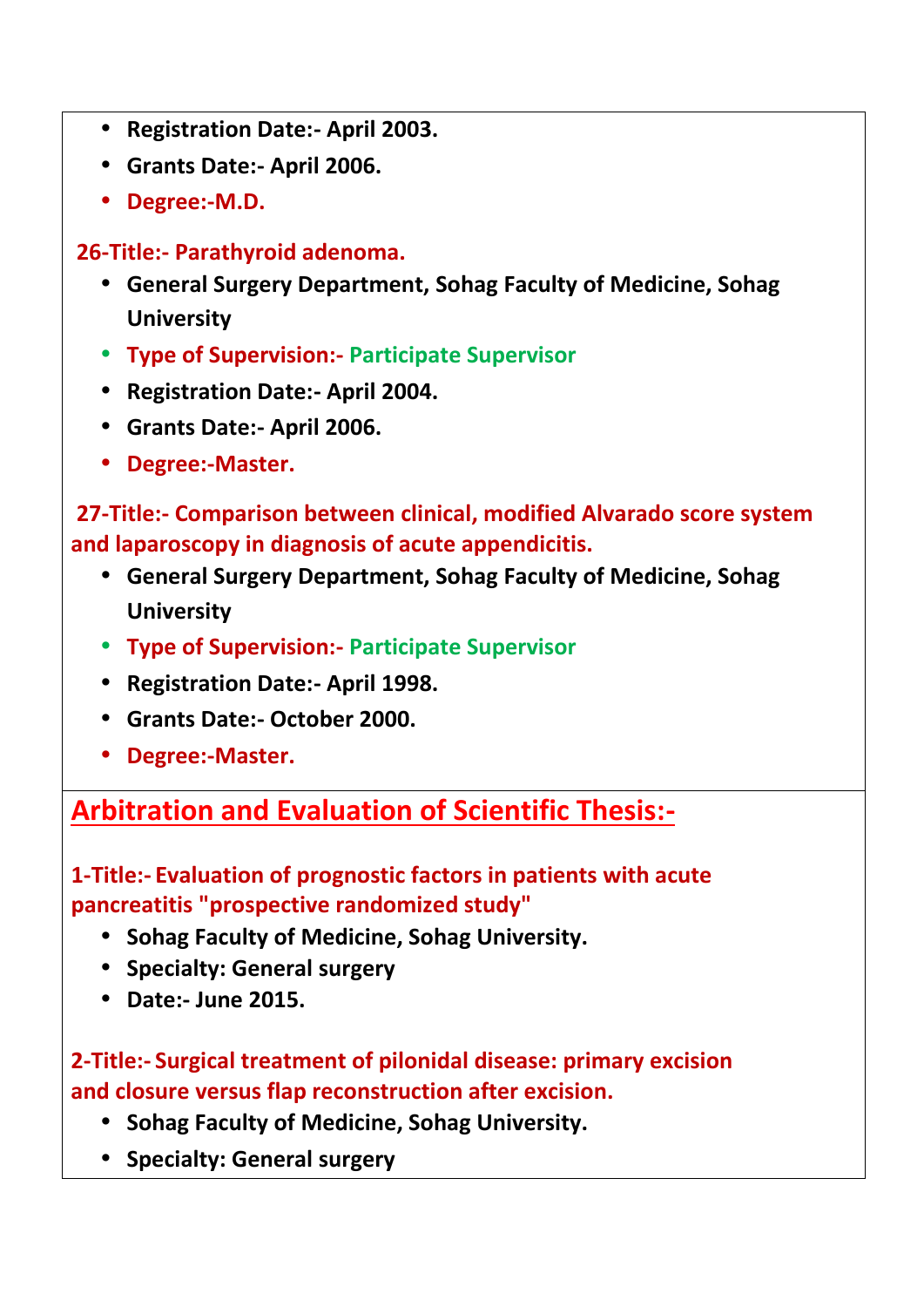- **Registration Date:- April 2003.**
- **Grants Date:- April 2006.**
- **Degree:-M.D.**

**26-Title:- Parathyroid adenoma.**

- **General Surgery Department, Sohag Faculty of Medicine, Sohag University**
- **Type of Supervision:- Participate Supervisor**
- **Registration Date:- April 2004.**
- **Grants Date:- April 2006.**
- **Degree:-Master.**

**27-Title:- Comparison between clinical, modified Alvarado score system and laparoscopy in diagnosis of acute appendicitis.**

- **General Surgery Department, Sohag Faculty of Medicine, Sohag University**
- **Type of Supervision:- Participate Supervisor**
- **Registration Date:- April 1998.**
- **Grants Date:- October 2000.**
- **Degree:-Master.**

**Arbitration and Evaluation of Scientific Thesis:-**

**1-Title:- Evaluation of prognostic factors in patients with acute pancreatitis "prospective randomized study"**

- **Sohag Faculty of Medicine, Sohag University.**
- **Specialty: General surgery**
- **Date:- June 2015.**

**2-Title:- Surgical treatment of pilonidal disease: primary excision and closure versus flap reconstruction after excision.**

- **Sohag Faculty of Medicine, Sohag University.**
- **Specialty: General surgery**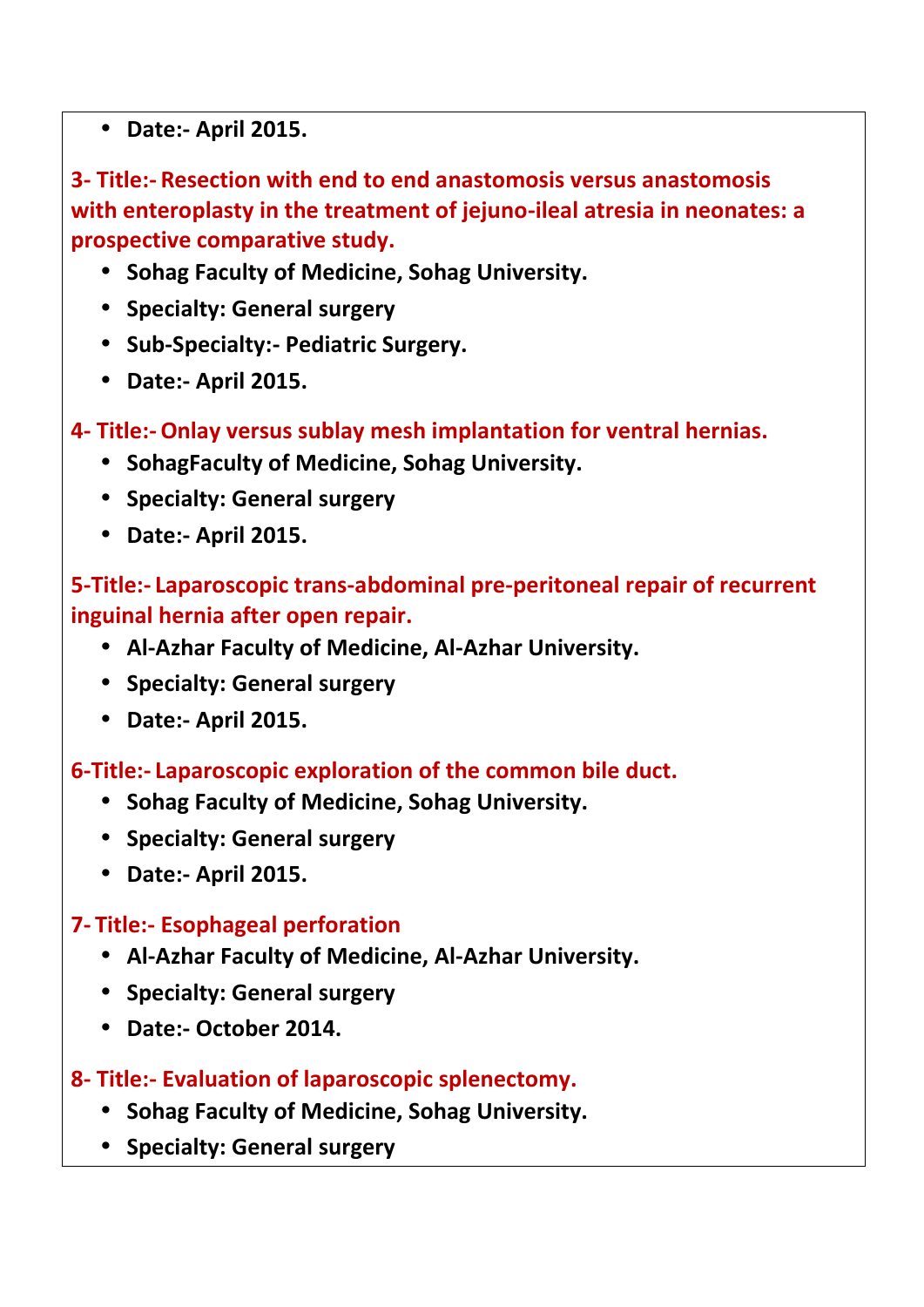**Date:- April 2015.**

**3- Title:- Resection with end to end anastomosis versus anastomosis with enteroplasty in the treatment of jejuno-ileal atresia in neonates: a prospective comparative study.**

- **Sohag Faculty of Medicine, Sohag University.**
- **Specialty: General surgery**
- **Sub-Specialty:- Pediatric Surgery.**
- **Date:- April 2015.**
- **4- Title:-Onlay versus sublay mesh implantation for ventral hernias.**
	- **SohagFaculty of Medicine, Sohag University.**
	- **•** Specialty: General surgery
	- **Date:- April 2015.**

## **5-Title:- Laparoscopic trans-abdominal pre-peritoneal repair of recurrent inguinal hernia after open repair.**

- **Al-Azhar Faculty of Medicine, Al-Azhar University.**
- **Specialty: General surgery**
- **Date:- April 2015.**

#### **6-Title:- Laparoscopic exploration of the common bile duct.**

- **Sohag Faculty of Medicine, Sohag University.**
- **Specialty: General surgery**
- **Date:- April 2015.**

## **7- Title:- Esophageal perforation**

- **Al-Azhar Faculty of Medicine, Al-Azhar University.**
- **Specialty: General surgery**
- **Date:- October 2014.**
- **8- Title:- Evaluation of laparoscopic splenectomy.**
	- **Sohag Faculty of Medicine, Sohag University.**
	- **Specialty: General surgery**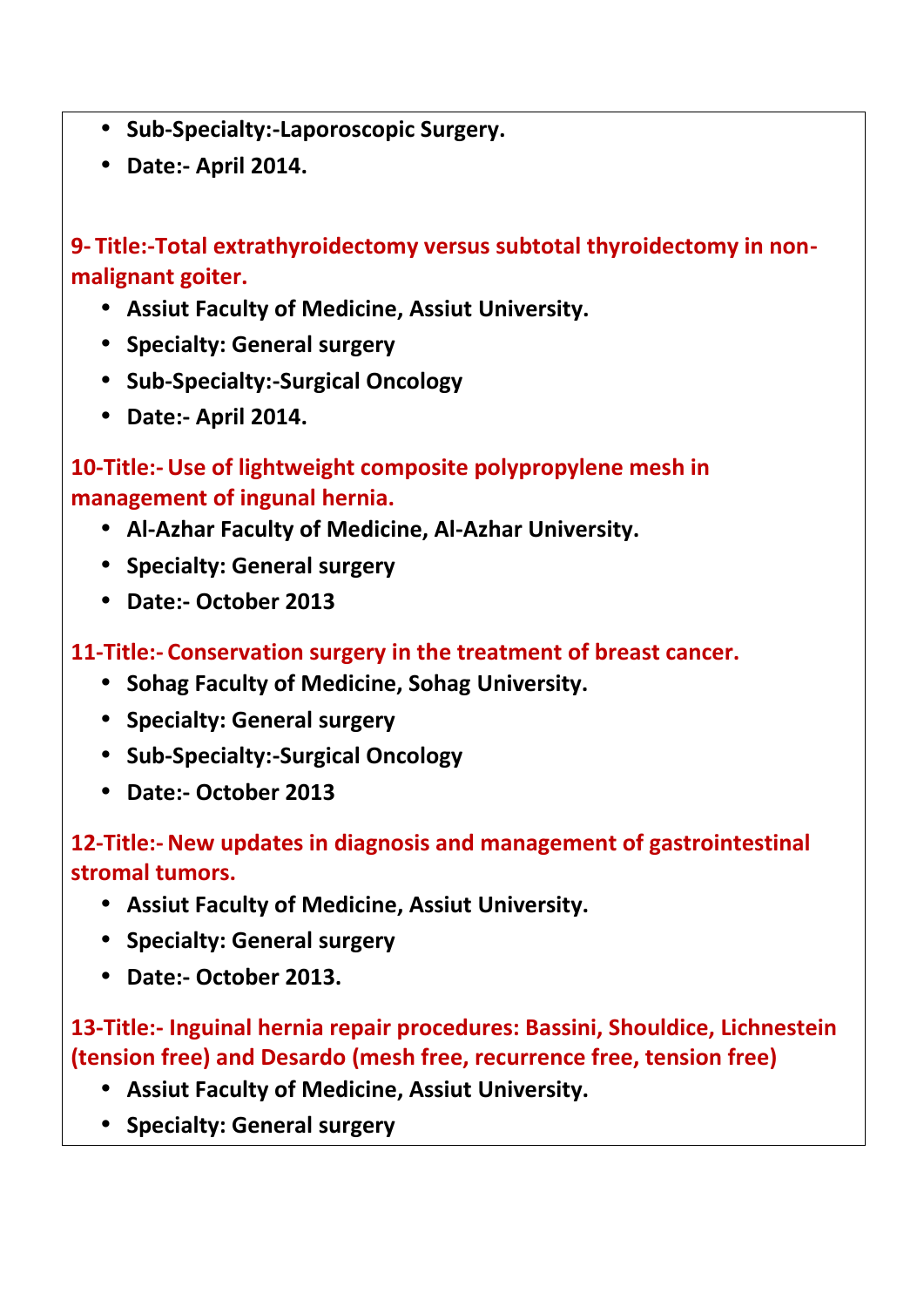- **Sub-Specialty:-Laporoscopic Surgery.**
- **Date:- April 2014.**

**9- Title:-Total extrathyroidectomy versus subtotal thyroidectomy in non malignant goiter.**

- **Assiut Faculty of Medicine, Assiut University.**
- **Specialty: General surgery**
- **Sub-Specialty:-Surgical Oncology**
- **Date:- April 2014.**

**10-Title:-Use of lightweight composite polypropylene mesh in management of ingunal hernia.**

- **Al-Azhar Faculty of Medicine, Al-Azhar University.**
- **Specialty: General surgery**
- **Date:- October 2013**

**11-Title:- Conservation surgery in the treatment of breast cancer.**

- **Sohag Faculty of Medicine, Sohag University.**
- **Specialty: General surgery**
- **Sub-Specialty:-Surgical Oncology**
- **Date:- October 2013**

## **12-Title:-New updates in diagnosis and management of gastrointestinal stromal tumors.**

- **Assiut Faculty of Medicine, Assiut University.**
- **•** Specialty: General surgery
- **Date:- October 2013.**

**13-Title:- Inguinal hernia repair procedures: Bassini, Shouldice, Lichnestein (tension free) and Desardo (mesh free, recurrence free, tension free)**

- **Assiut Faculty of Medicine, Assiut University.**
- **Specialty: General surgery**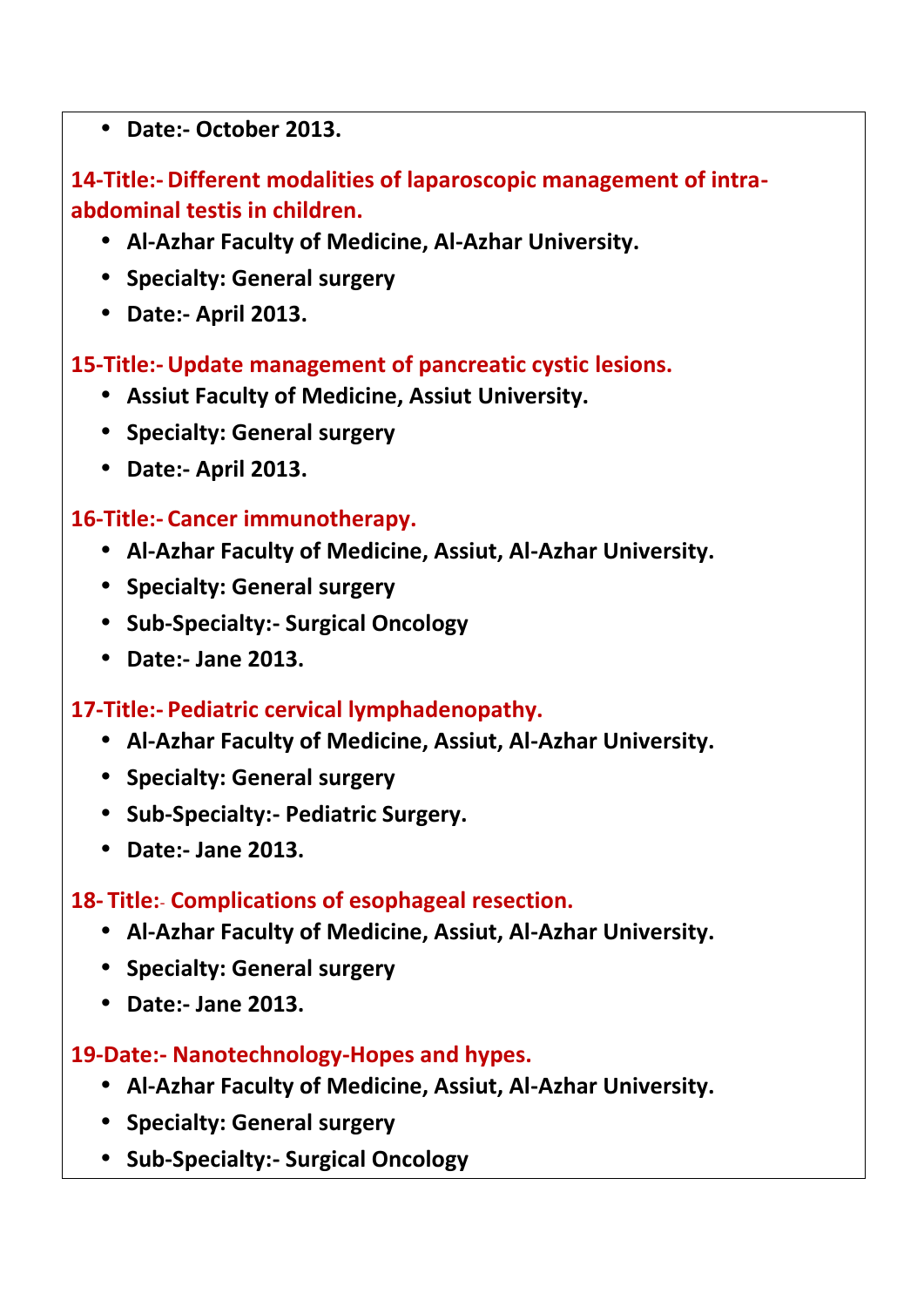**Date:- October 2013.**

## **14-Title:- Different modalities of laparoscopic management of intra abdominal testis in children.**

- **Al-Azhar Faculty of Medicine, Al-Azhar University.**
- **Specialty: General surgery**
- **Date:- April 2013.**

**15-Title:-Update management of pancreatic cystic lesions.**

- **Assiut Faculty of Medicine, Assiut University.**
- **Specialty: General surgery**
- **Date:- April 2013.**

### **16-Title:- Cancer immunotherapy.**

- **Al-Azhar Faculty of Medicine, Assiut, Al-Azhar University.**
- **Specialty: General surgery**
- **Sub-Specialty:- Surgical Oncology**
- **Date:- Jane 2013.**

## **17-Title:- Pediatric cervical lymphadenopathy.**

- **Al-Azhar Faculty of Medicine, Assiut, Al-Azhar University.**
- **Specialty: General surgery**
- **Sub-Specialty:- Pediatric Surgery.**
- **Date:- Jane 2013.**

## **18- Title:**- **Complications of esophageal resection.**

- **Al-Azhar Faculty of Medicine, Assiut, Al-Azhar University.**
- **Specialty: General surgery**
- **Date:- Jane 2013.**

## **19-Date:- Nanotechnology-Hopes and hypes.**

- **Al-Azhar Faculty of Medicine, Assiut, Al-Azhar University.**
- **Specialty: General surgery**
- **Sub-Specialty:- Surgical Oncology**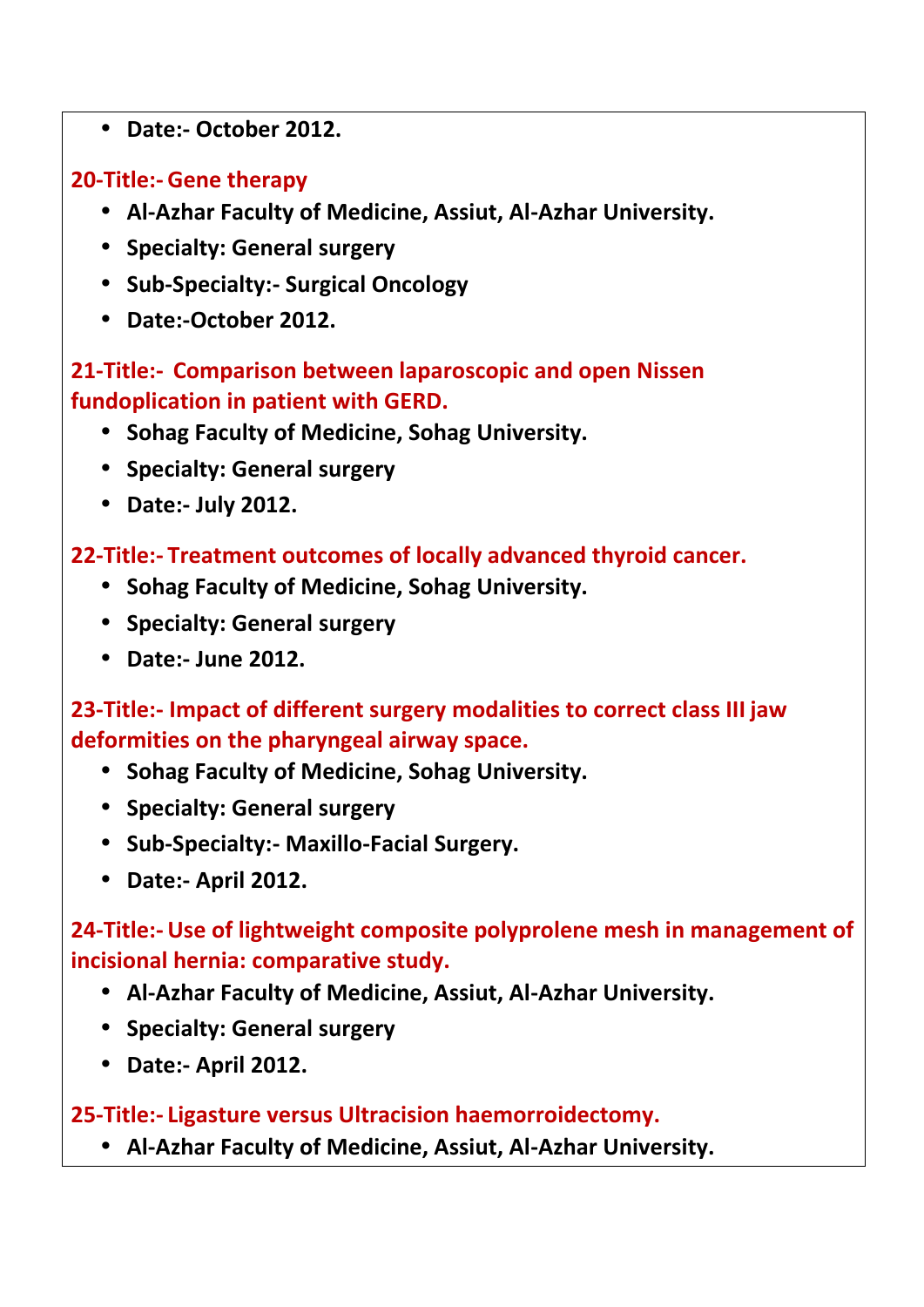**Date:- October 2012.**

## **20-Title:- Gene therapy**

- **Al-Azhar Faculty of Medicine, Assiut, Al-Azhar University.**
- **Specialty: General surgery**
- **Sub-Specialty:- Surgical Oncology**
- **Date:-October 2012.**

### **21-Title:- Comparison between laparoscopic and open Nissen fundoplication in patient with GERD.**

- **Sohag Faculty of Medicine, Sohag University.**
- **Specialty: General surgery**
- **Date:- July 2012.**

### **22-Title:- Treatment outcomes of locally advanced thyroid cancer.**

- **Sohag Faculty of Medicine, Sohag University.**
- **Specialty: General surgery**
- **Date:- June 2012.**

**23-Title:- Impact of different surgery modalities to correct class III jaw deformities on the pharyngeal airway space.**

- **Sohag Faculty of Medicine, Sohag University.**
- **Specialty: General surgery**
- **Sub-Specialty:- Maxillo-Facial Surgery.**
- **Date:- April 2012.**

## **24-Title:-Use of lightweight composite polyprolene mesh in management of incisional hernia: comparative study.**

- **Al-Azhar Faculty of Medicine, Assiut, Al-Azhar University.**
- **Specialty: General surgery**
- **Date:- April 2012.**

#### **25-Title:- Ligasture versus Ultracision haemorroidectomy.**

**Al-Azhar Faculty of Medicine, Assiut, Al-Azhar University.**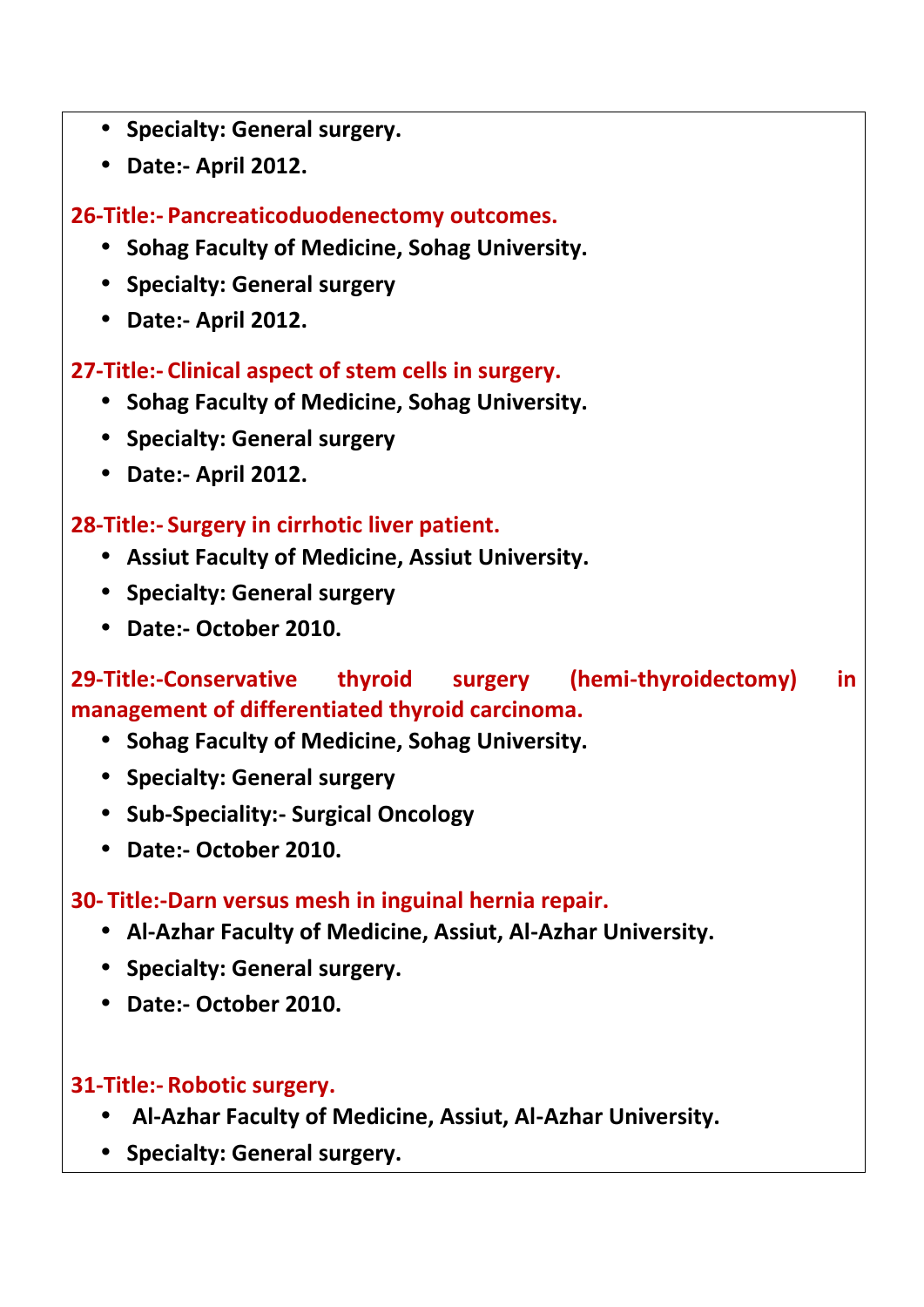- **Specialty: General surgery.**
- **Date:- April 2012.**

**26-Title:- Pancreaticoduodenectomy outcomes.**

- **Sohag Faculty of Medicine, Sohag University.**
- **Specialty: General surgery**
- **Date:- April 2012.**

### **27-Title:- Clinical aspect of stem cells in surgery.**

- **Sohag Faculty of Medicine, Sohag University.**
- **Specialty: General surgery**
- **Date:- April 2012.**

### **28-Title:- Surgery in cirrhotic liver patient.**

- **Assiut Faculty of Medicine, Assiut University.**
- **Specialty: General surgery**
- **Date:- October 2010.**

## **29-Title:-Conservative thyroid surgery (hemi-thyroidectomy) in management of differentiated thyroid carcinoma.**

- **Sohag Faculty of Medicine, Sohag University.**
- **Specialty: General surgery**
- **Sub-Speciality:- Surgical Oncology**
- **Date:- October 2010.**

#### **30- Title:-Darn versus mesh in inguinal hernia repair.**

- **Al-Azhar Faculty of Medicine, Assiut, Al-Azhar University.**
- **•** Specialty: General surgery.
- **Date:- October 2010.**

#### **31-Title:- Robotic surgery.**

- **Al-Azhar Faculty of Medicine, Assiut, Al-Azhar University.**
- **Specialty: General surgery.**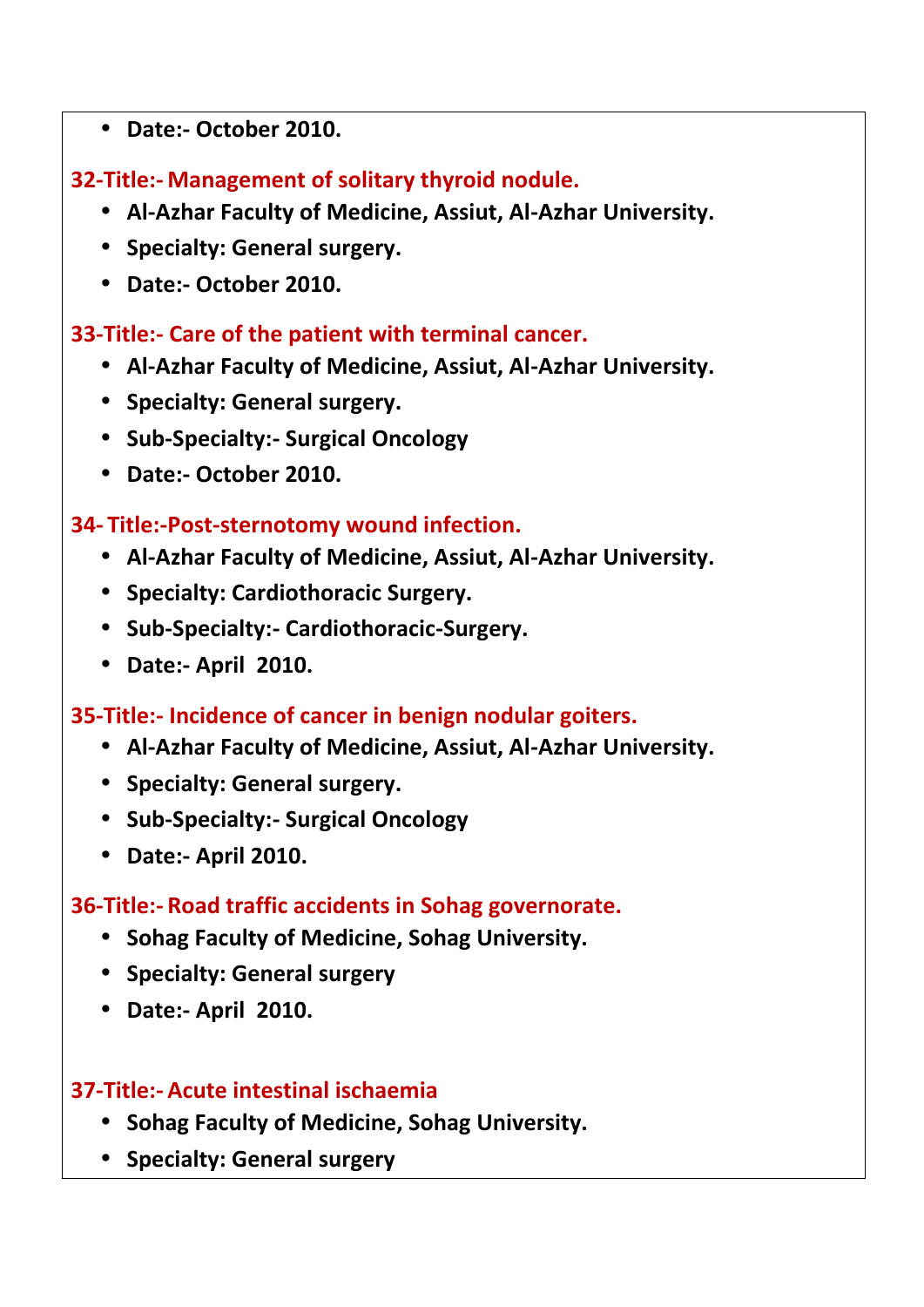**Date:- October 2010.**

**32-Title:- Management of solitary thyroid nodule.**

- **Al-Azhar Faculty of Medicine, Assiut, Al-Azhar University.**
- **Specialty: General surgery.**
- **Date:- October 2010.**

#### **33-Title:- Care of the patient with terminal cancer.**

- **Al-Azhar Faculty of Medicine, Assiut, Al-Azhar University.**
- **Specialty: General surgery.**
- **Sub-Specialty:- Surgical Oncology**
- **Date:- October 2010.**

#### **34- Title:-Post-sternotomy wound infection.**

- **Al-Azhar Faculty of Medicine, Assiut, Al-Azhar University.**
- **Specialty: Cardiothoracic Surgery.**
- **Sub-Specialty:- Cardiothoracic-Surgery.**
- **Date:- April 2010.**

#### **35-Title:- Incidence of cancer in benign nodular goiters.**

- **Al-Azhar Faculty of Medicine, Assiut, Al-Azhar University.**
- **Specialty: General surgery.**
- **Sub-Specialty:- Surgical Oncology**
- **Date:- April 2010.**

#### **36-Title:- Road traffic accidents in Sohag governorate.**

- **Sohag Faculty of Medicine, Sohag University.**
- **•** Specialty: General surgery
- **Date:- April 2010.**

#### **37-Title:- Acute intestinal ischaemia**

- **Sohag Faculty of Medicine, Sohag University.**
- **Specialty: General surgery**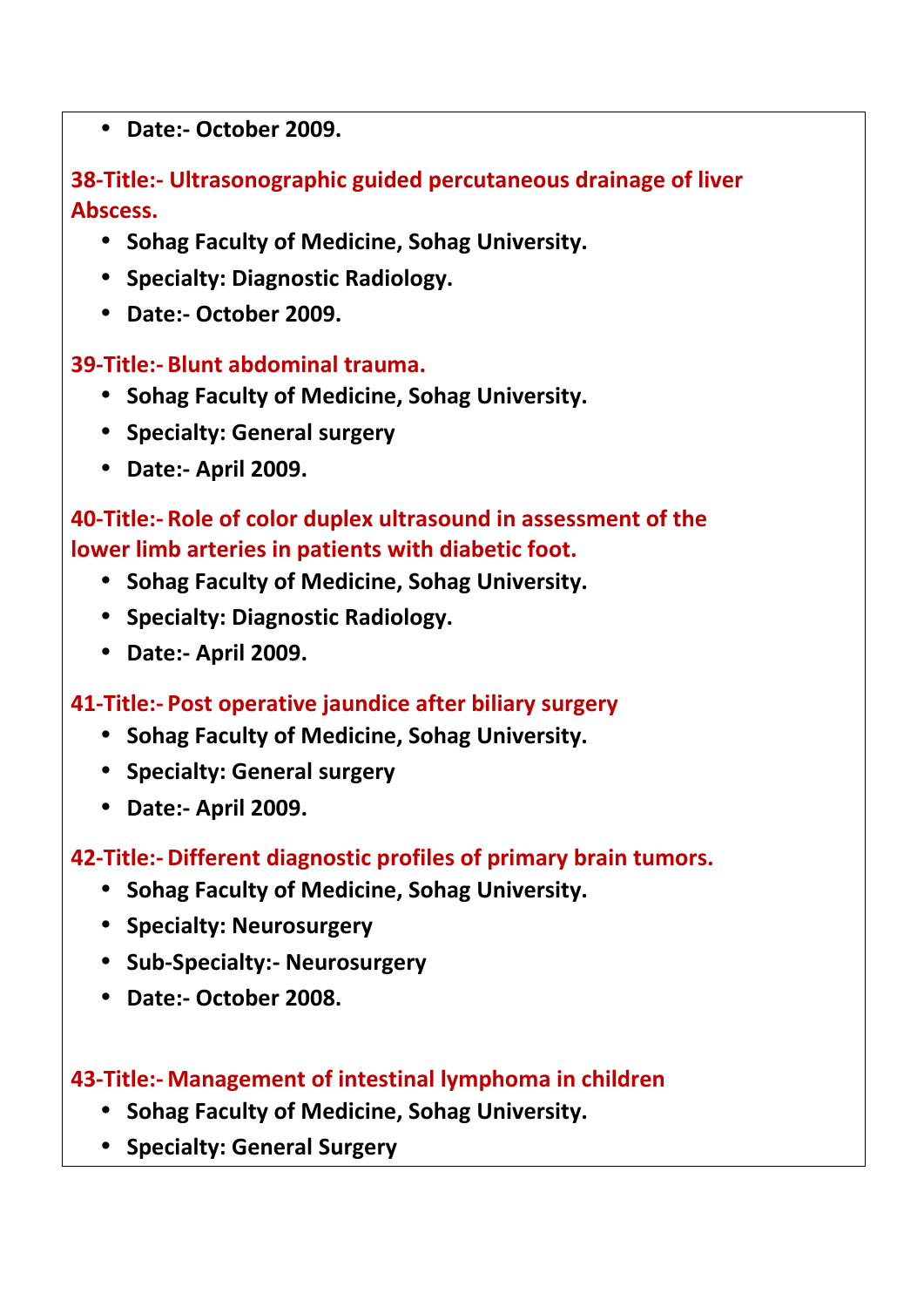**Date:- October 2009.**

## **38-Title:- Ultrasonographic guided percutaneous drainage of liver Abscess.**

- **Sohag Faculty of Medicine, Sohag University.**
- **Specialty: Diagnostic Radiology.**
- **Date:- October 2009.**

## **39-Title:- Blunt abdominal trauma.**

- **Sohag Faculty of Medicine, Sohag University.**
- **Specialty: General surgery**
- **Date:- April 2009.**

## **40-Title:- Role of color duplex ultrasound in assessment of the lower limb arteries in patients with diabetic foot.**

- **Sohag Faculty of Medicine, Sohag University.**
- **Specialty: Diagnostic Radiology.**
- **Date:- April 2009.**

## **41-Title:- Post operative jaundice after biliary surgery**

- **Sohag Faculty of Medicine, Sohag University.**
- **•** Specialty: General surgery
- **Date:- April 2009.**

## **42-Title:- Different diagnostic profiles of primary brain tumors.**

- **Sohag Faculty of Medicine, Sohag University.**
- **•** Specialty: Neurosurgery
- **Sub-Specialty:- Neurosurgery**
- **Date:- October 2008.**

## **43-Title:- Management of intestinal lymphoma in children**

- **Sohag Faculty of Medicine, Sohag University.**
- **Specialty: General Surgery**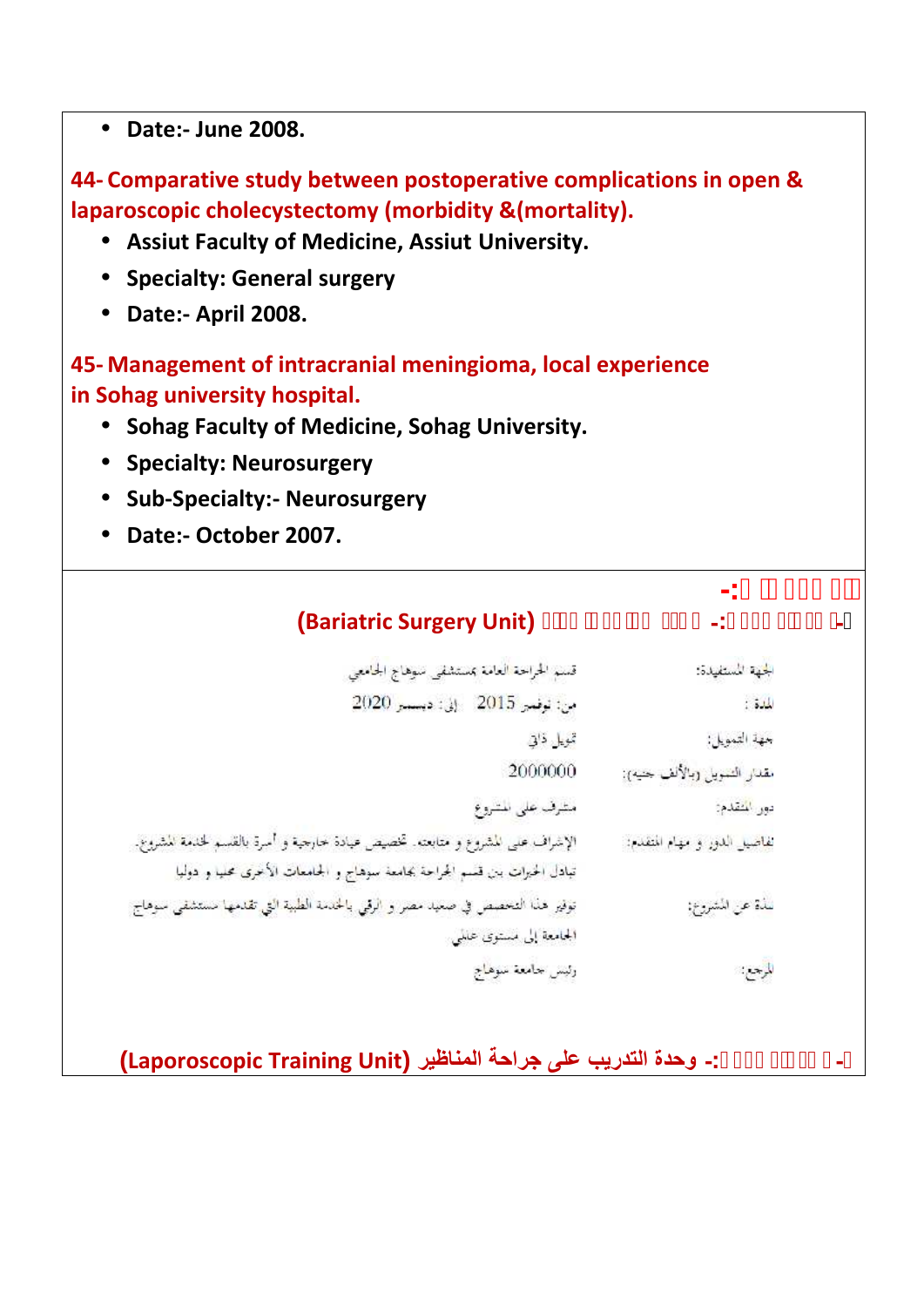**Date:- June 2008.**

**44- Comparative study between postoperative complications in open & laparoscopic cholecystectomy (morbidity &(mortality).**

- **Assiut Faculty of Medicine, Assiut University.**
- **Specialty: General surgery**
- **Date:- April 2008.**

**45- Management of intracranial meningioma, local experience in Sohag university hospital.**

- **Sohag Faculty of Medicine, Sohag University.**
- **•** Specialty: Neurosurgery
- **Sub-Specialty:- Neurosurgery**
- 

**e** Date:- October 2007.<br> **and Surgery Bariatric Surgery Unit (Bariatric Surgery Unit)<br>
<b>Pariodic Surgery Unit (2007)** 

| الجهة المستفيدة:              | قسم الحراحة العامة بمستشفى سوهاج الحامعي                                       |
|-------------------------------|--------------------------------------------------------------------------------|
| الملف:                        | من: توفعير 2015 - إلى: ديسمبر 2020                                             |
| جهة التمويل:                  | تمويل ذاتي                                                                     |
| مقدار التمويلي (بالألف جنيه): | 2000000                                                                        |
| دور المقدم:                   | مثرف على المتروع                                                               |
| تفاضيل الدور و مهام المتقدم:  | الإشراف على المشروع و متابعته. تخصيص عيادة حارجية و أسرة بالقسم لخدمة المشروع. |
|                               | تبادل الحيرات ببن قسم الجراحة بحامعة سوهاج و الجامعات الأعرى محليا و دوليا     |
| سُلَةَ عن المُشروع:           | توفير هذا التخصص في صعيد مصر و الرقمي بالخدمة الطبية التي تقدمها مستشفى سوهاج  |
|                               | الجامعة إلى مستوى علمي                                                         |
| المرجع:                       | وثيس حامعة سوهاج                                                               |
|                               |                                                                                |

**- اسم المشروع-: وحدة التدریب على جراحة المناظیر (Unit Training Laporoscopic(**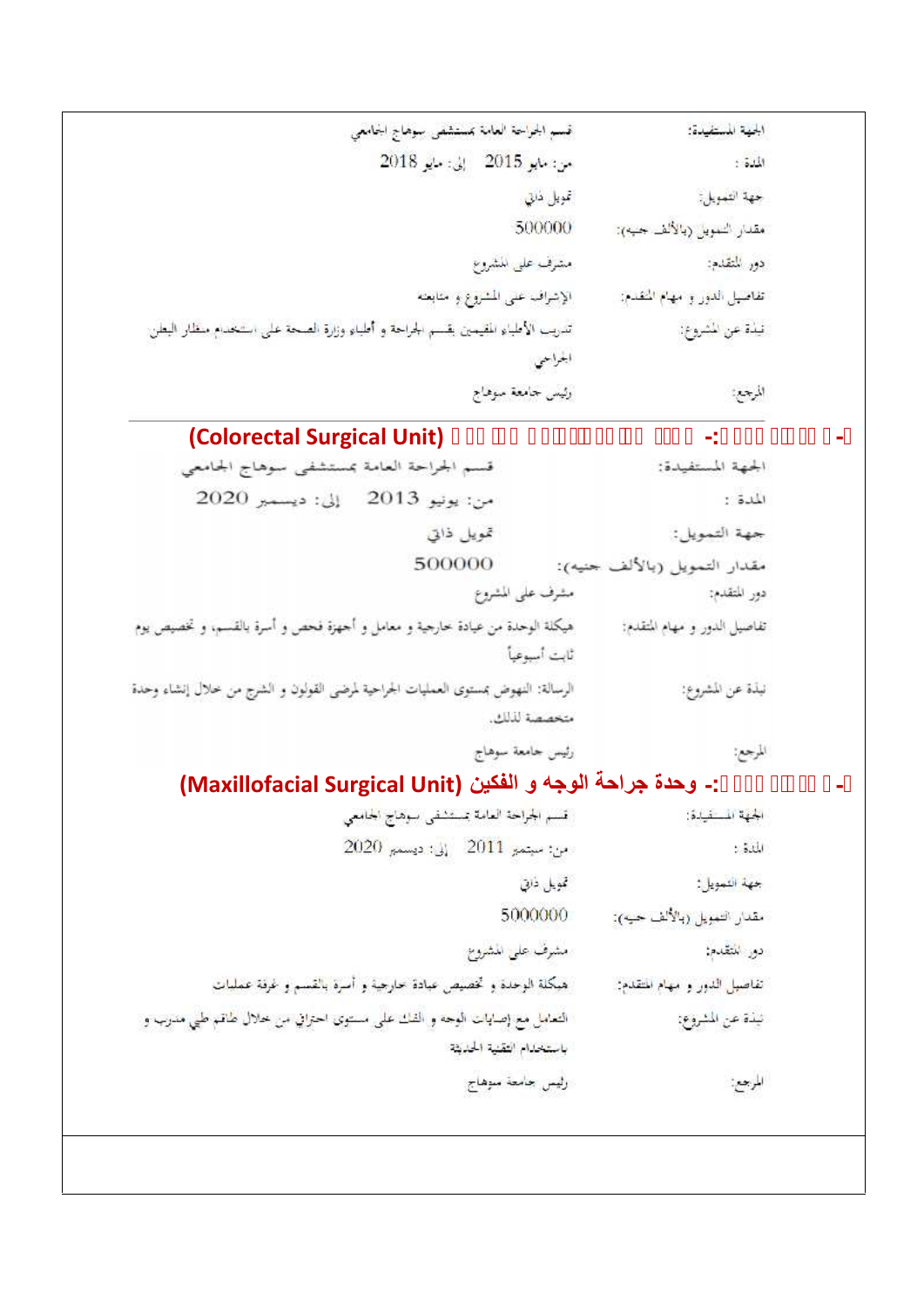| الجهة المستفيدة:            | غسم الجراحة العامة بمستشفى سوهاج الجامعي                                        |
|-----------------------------|---------------------------------------------------------------------------------|
| المدة:                      | من: مايو 2015 إلى: مايو 2018                                                    |
| حهة التمويل:                | تمويل ذاتي                                                                      |
| مقدار التمويل (بالألف جبه): | 500000                                                                          |
| دور المتقدم:                | مشرف على الشروع                                                                 |
| تفاصيل الدور و مهام النقدم: | الإشراف عنى المشروع وحنايفه                                                     |
| نيذة عن المشروع:            | تدريب الأطباء المقيمين يقسم الجراحة و أطباء وزارة الصحة على استخدام منظار البطن |
|                             |                                                                                 |
| المرجعة                     | وثيس جامعة سوهاج                                                                |

# **- أسم المشروع-: وحدة جراحة القولون و الشرج (Unit Surgical Colorectal(**

| الجهة المستفيدة:                              | قسم الجراحة العامة بمستشفى سوهاج الجامعي                                          |
|-----------------------------------------------|-----------------------------------------------------------------------------------|
| الهدة :                                       | إلى: ديسمبر 2020<br>من: يونيو 2013                                                |
| جهة التمويل:                                  | تمويل ذاتي                                                                        |
| مقدار التمويل (بالألف جنيه):                  | 500000                                                                            |
| مشرف على المشروع<br>دور المتقدم:              |                                                                                   |
| تفاصيل الدور و مهام المتقدم:<br>ثابت أسبوعياً | هيكلة الوحدة من عيادة خارجية و معامل و أحهزة فحص و أسرة بالقسم، و تخصيص يوم       |
| نبذة عن المشروع:                              | الرسالة: النهوض بمستوى العمليات الجراحية لمرضى القولون و الشرج من خلال إنشاء وحدة |
| متحصصة لذلك.                                  |                                                                                   |
| رئيس حامعة سوهاج<br>المرجع:                   |                                                                                   |

# **- أسم المشروع-: وحدة جراحة الوجھ و الفكین (Unit Surgical Maxillofacial(**

| الجهة المستيدة:              | قسم الجراحة العامة تستشفي سوهاج الحامعي                                 |
|------------------------------|-------------------------------------------------------------------------|
| المدة :                      | $2020$ مِنْ: سَيْتَمَعَ $2011$ . إِلَىٰ: دَيْسَمَ                       |
| جهة التمويل:                 | تمويل ذابتي                                                             |
| مقدار التمويل (بالألف حيه):  | 5000000                                                                 |
| دور التقدم:                  | مشرف على الشروع                                                         |
| تفاصيل الدور و مهام المتقدم: | هبكلة الوحدة و تخصيص عبادة حارجية و أسرة بالقسم و غرقة عمليات           |
| تيذة عن المشروع:             | التعامل مع إصابات الوجه و الفك على مستوى احتراق من خلال طاقم طبي مدرب و |
|                              | باستحدام التقنية الحديثة                                                |
| المرجع                       | رليس جامعة سوهاج                                                        |